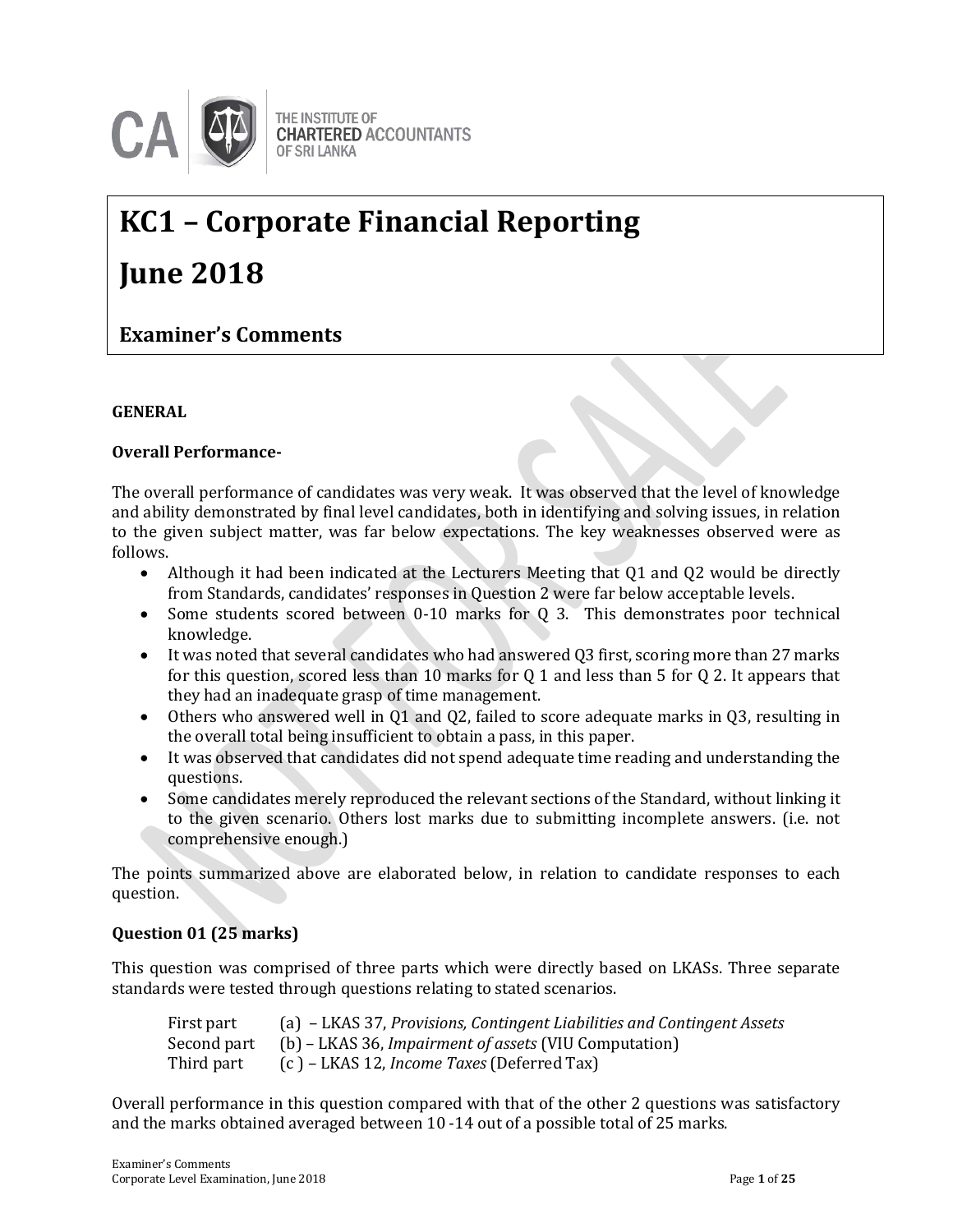

# **KC1 – Corporate Financial Reporting June 2018**

## **Examiner's Comments**

## **GENERAL**

#### **Overall Performance-**

The overall performance of candidates was very weak. It was observed that the level of knowledge and ability demonstrated by final level candidates, both in identifying and solving issues, in relation to the given subject matter, was far below expectations. The key weaknesses observed were as follows.

- Although it had been indicated at the Lecturers Meeting that Q1 and Q2 would be directly from Standards, candidates' responses in Question 2 were far below acceptable levels.
- Some students scored between 0-10 marks for Q 3. This demonstrates poor technical knowledge.
- It was noted that several candidates who had answered Q3 first, scoring more than 27 marks for this question, scored less than 10 marks for Q 1 and less than 5 for Q 2. It appears that they had an inadequate grasp of time management.
- Others who answered well in Q1 and Q2, failed to score adequate marks in Q3, resulting in the overall total being insufficient to obtain a pass, in this paper.
- It was observed that candidates did not spend adequate time reading and understanding the questions.
- Some candidates merely reproduced the relevant sections of the Standard, without linking it to the given scenario. Others lost marks due to submitting incomplete answers. (i.e. not comprehensive enough.)

The points summarized above are elaborated below, in relation to candidate responses to each question.

## **Question 01 (25 marks)**

This question was comprised of three parts which were directly based on LKASs. Three separate standards were tested through questions relating to stated scenarios.

| First part  | (a) – LKAS 37, Provisions, Contingent Liabilities and Contingent Assets |
|-------------|-------------------------------------------------------------------------|
| Second part | (b) – LKAS 36, Impairment of assets (VIU Computation)                   |
| Third part  | $(c)$ – LKAS 12, <i>Income Taxes</i> (Deferred Tax)                     |

Overall performance in this question compared with that of the other 2 questions was satisfactory and the marks obtained averaged between 10 -14 out of a possible total of 25 marks.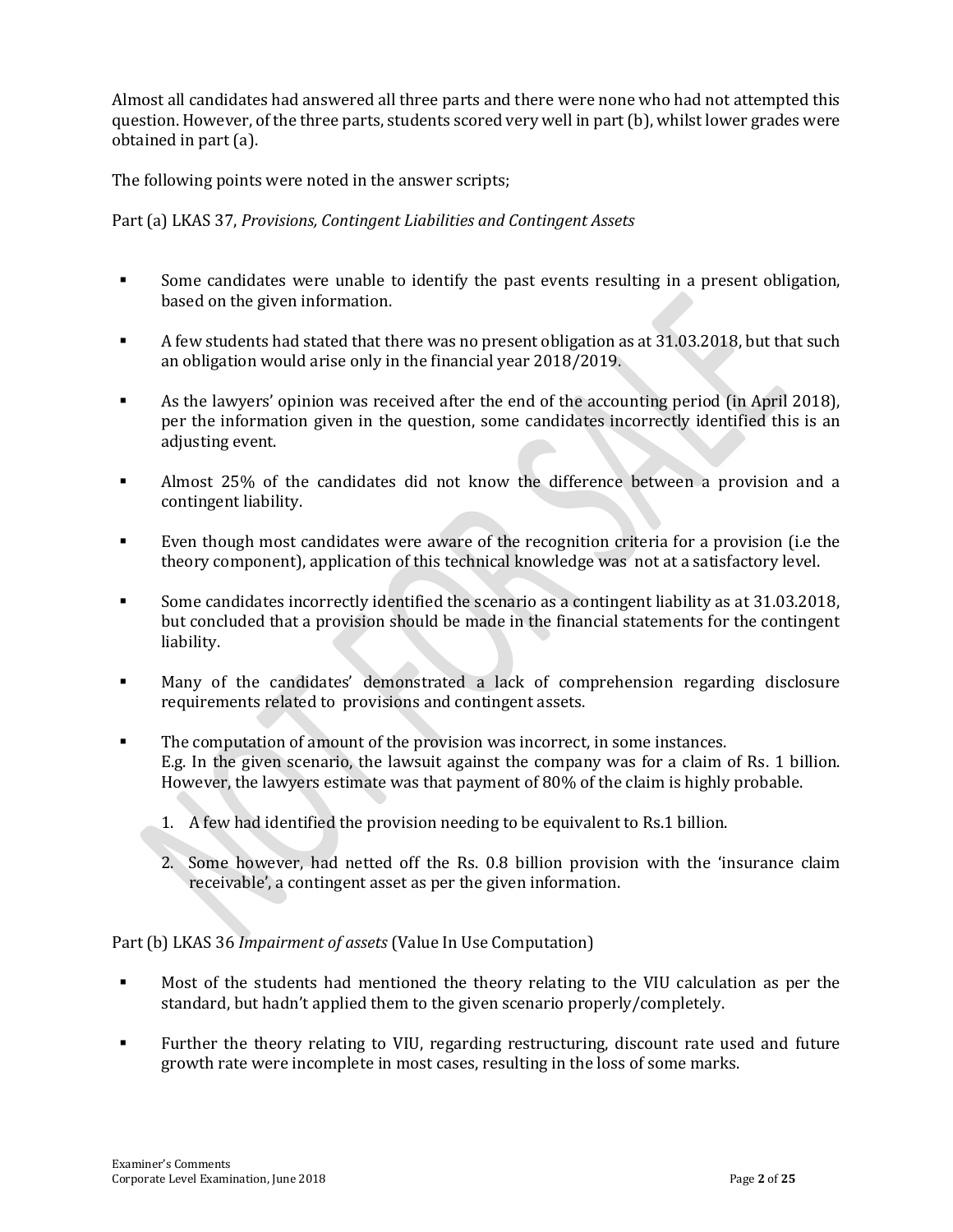Almost all candidates had answered all three parts and there were none who had not attempted this question. However, of the three parts, students scored very well in part (b), whilst lower grades were obtained in part (a).

The following points were noted in the answer scripts;

Part (a) LKAS 37, *Provisions, Contingent Liabilities and Contingent Assets*

- Some candidates were unable to identify the past events resulting in a present obligation, based on the given information.
- **A** few students had stated that there was no present obligation as at 31.03.2018, but that such an obligation would arise only in the financial year 2018/2019.
- As the lawyers' opinion was received after the end of the accounting period (in April 2018), per the information given in the question, some candidates incorrectly identified this is an adjusting event.
- Almost 25% of the candidates did not know the difference between a provision and a contingent liability.
- Even though most candidates were aware of the recognition criteria for a provision (i.e the theory component), application of this technical knowledge was not at a satisfactory level.
- Some candidates incorrectly identified the scenario as a contingent liability as at 31.03.2018, but concluded that a provision should be made in the financial statements for the contingent liability.
- Many of the candidates' demonstrated a lack of comprehension regarding disclosure requirements related to provisions and contingent assets.
- The computation of amount of the provision was incorrect, in some instances. E.g. In the given scenario, the lawsuit against the company was for a claim of Rs. 1 billion. However, the lawyers estimate was that payment of 80% of the claim is highly probable.
	- 1. A few had identified the provision needing to be equivalent to Rs.1 billion.
	- 2. Some however, had netted off the Rs. 0.8 billion provision with the 'insurance claim receivable', a contingent asset as per the given information.

Part (b) LKAS 36 *Impairment of assets* (Value In Use Computation)

- Most of the students had mentioned the theory relating to the VIU calculation as per the standard, but hadn't applied them to the given scenario properly/completely.
- Further the theory relating to VIU, regarding restructuring, discount rate used and future growth rate were incomplete in most cases, resulting in the loss of some marks.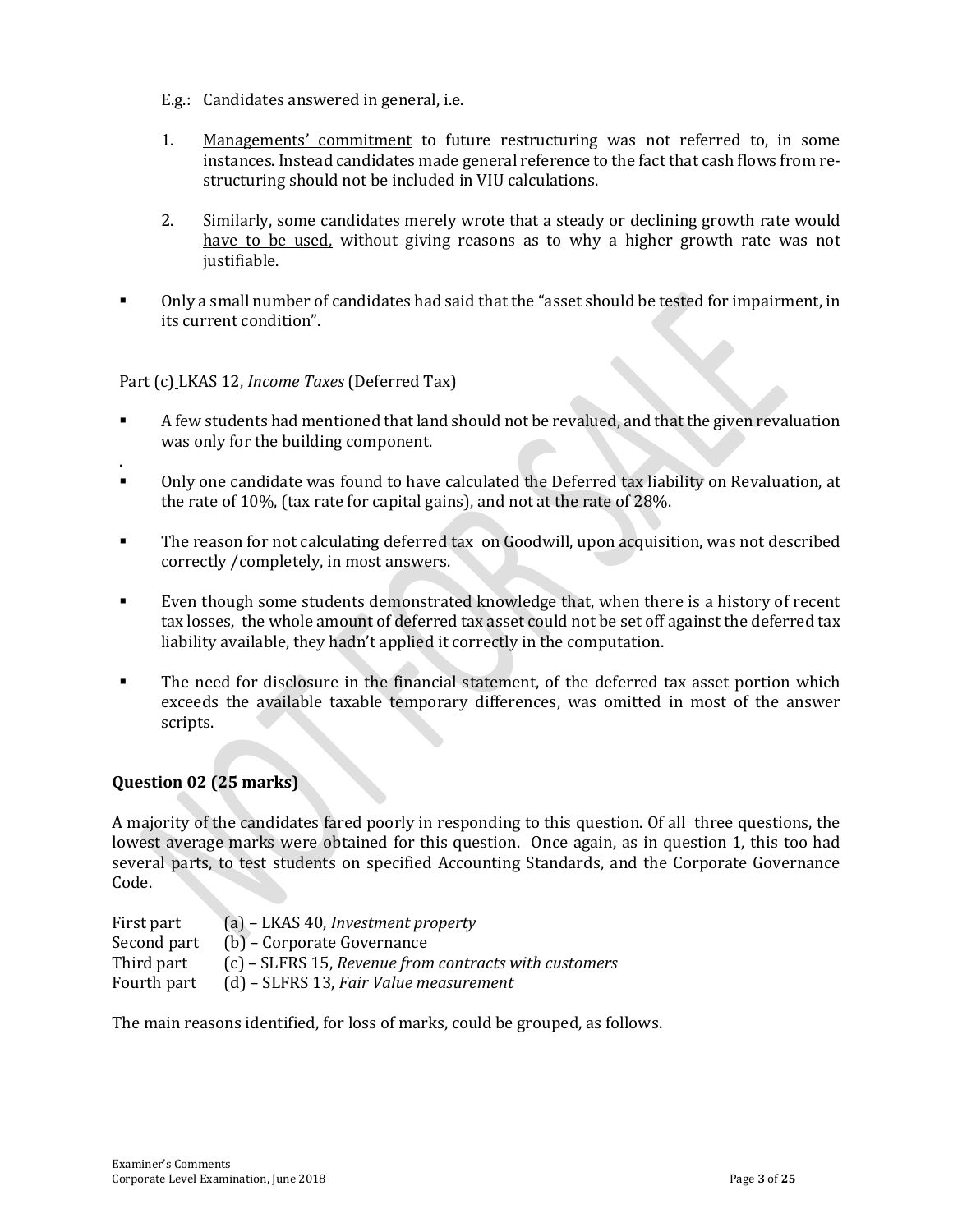- E.g.: Candidates answered in general, i.e.
- 1. Managements' commitment to future restructuring was not referred to, in some instances. Instead candidates made general reference to the fact that cash flows from restructuring should not be included in VIU calculations.
- 2. Similarly, some candidates merely wrote that a steady or declining growth rate would have to be used, without giving reasons as to why a higher growth rate was not justifiable.
- Only a small number of candidates had said that the "asset should be tested for impairment, in its current condition".

Part (c) LKAS 12, *Income Taxes* (Deferred Tax)

- A few students had mentioned that land should not be revalued, and that the given revaluation was only for the building component.
- Only one candidate was found to have calculated the Deferred tax liability on Revaluation, at the rate of 10%, (tax rate for capital gains), and not at the rate of 28%.
- The reason for not calculating deferred tax on Goodwill, upon acquisition, was not described correctly /completely, in most answers.
- Even though some students demonstrated knowledge that, when there is a history of recent tax losses, the whole amount of deferred tax asset could not be set off against the deferred tax liability available, they hadn't applied it correctly in the computation.
- The need for disclosure in the financial statement, of the deferred tax asset portion which exceeds the available taxable temporary differences, was omitted in most of the answer scripts.

## **Question 02 (25 marks)**

.

A majority of the candidates fared poorly in responding to this question. Of all three questions, the lowest average marks were obtained for this question. Once again, as in question 1, this too had several parts, to test students on specified Accounting Standards, and the Corporate Governance Code.

First part (a) – LKAS 40, *Investment property* Second part (b) – Corporate Governance Third part (c) – SLFRS 15, *Revenue from contracts with customers* Fourth part (d) – SLFRS 13, *Fair Value measurement*

The main reasons identified, for loss of marks, could be grouped, as follows.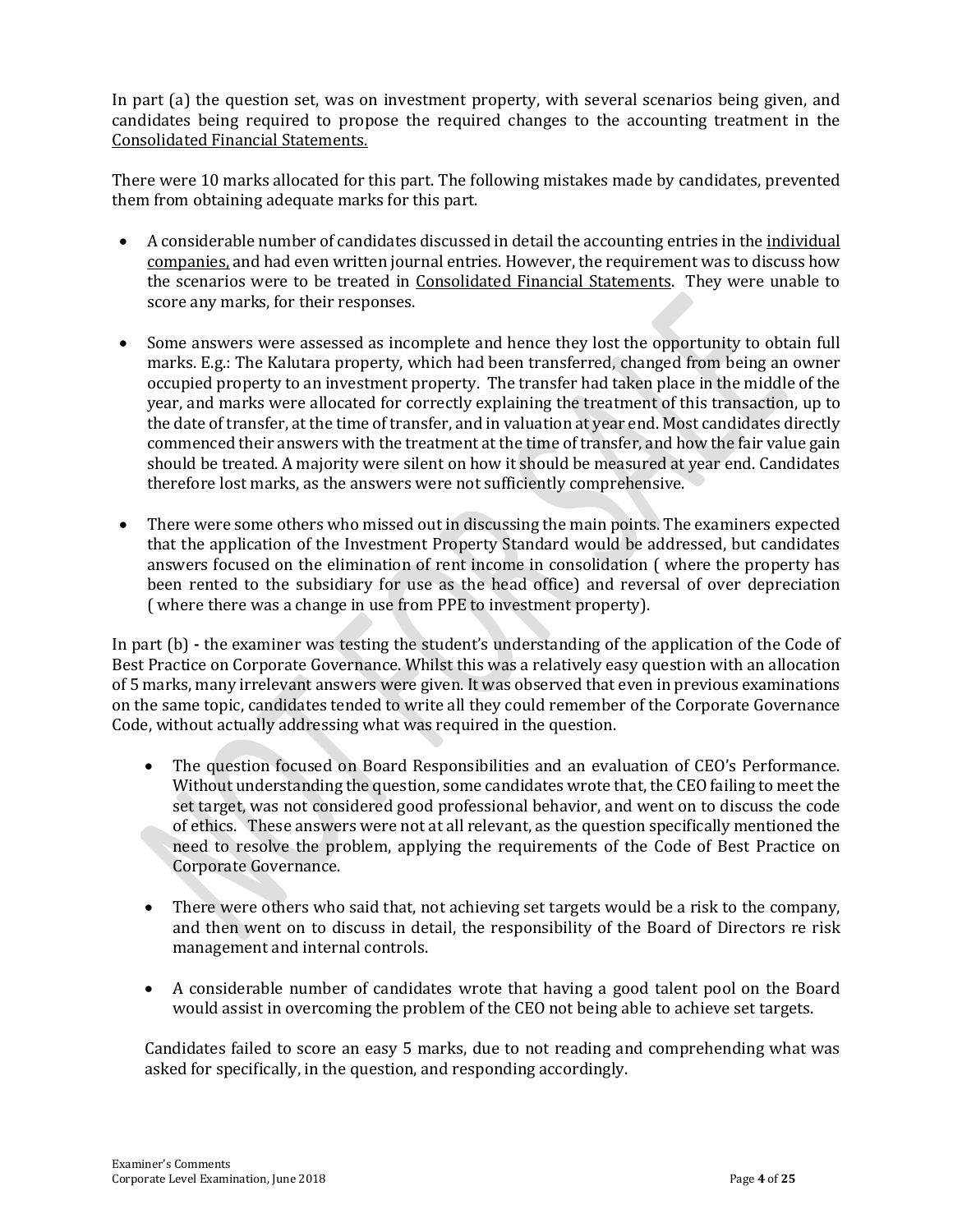In part (a) the question set, was on investment property, with several scenarios being given, and candidates being required to propose the required changes to the accounting treatment in the Consolidated Financial Statements.

There were 10 marks allocated for this part. The following mistakes made by candidates, prevented them from obtaining adequate marks for this part.

- A considerable number of candidates discussed in detail the accounting entries in the individual companies, and had even written journal entries. However, the requirement was to discuss how the scenarios were to be treated in Consolidated Financial Statements. They were unable to score any marks, for their responses.
- Some answers were assessed as incomplete and hence they lost the opportunity to obtain full marks. E.g.: The Kalutara property, which had been transferred, changed from being an owner occupied property to an investment property. The transfer had taken place in the middle of the year, and marks were allocated for correctly explaining the treatment of this transaction, up to the date of transfer, at the time of transfer, and in valuation at year end. Most candidates directly commenced their answers with the treatment at the time of transfer, and how the fair value gain should be treated. A majority were silent on how it should be measured at year end. Candidates therefore lost marks, as the answers were not sufficiently comprehensive.
- There were some others who missed out in discussing the main points. The examiners expected that the application of the Investment Property Standard would be addressed, but candidates answers focused on the elimination of rent income in consolidation ( where the property has been rented to the subsidiary for use as the head office) and reversal of over depreciation ( where there was a change in use from PPE to investment property).

In part (b) **-** the examiner was testing the student's understanding of the application of the Code of Best Practice on Corporate Governance. Whilst this was a relatively easy question with an allocation of 5 marks, many irrelevant answers were given. It was observed that even in previous examinations on the same topic, candidates tended to write all they could remember of the Corporate Governance Code, without actually addressing what was required in the question.

- The question focused on Board Responsibilities and an evaluation of CEO's Performance. Without understanding the question, some candidates wrote that, the CEO failing to meet the set target, was not considered good professional behavior, and went on to discuss the code of ethics. These answers were not at all relevant, as the question specifically mentioned the need to resolve the problem, applying the requirements of the Code of Best Practice on Corporate Governance.
- There were others who said that, not achieving set targets would be a risk to the company, and then went on to discuss in detail, the responsibility of the Board of Directors re risk management and internal controls.
- A considerable number of candidates wrote that having a good talent pool on the Board would assist in overcoming the problem of the CEO not being able to achieve set targets.

Candidates failed to score an easy 5 marks, due to not reading and comprehending what was asked for specifically, in the question, and responding accordingly.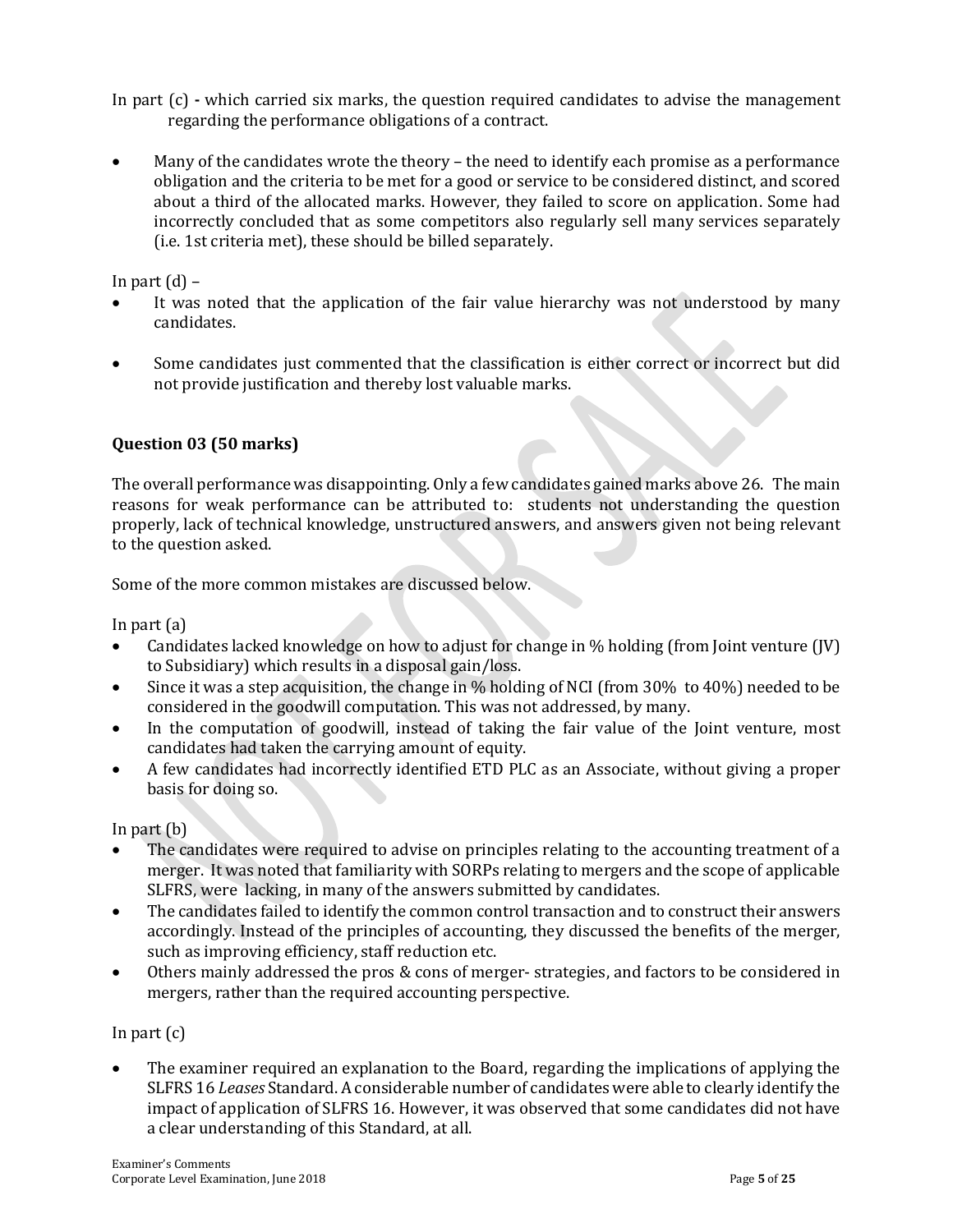In part (c) **-** which carried six marks, the question required candidates to advise the management regarding the performance obligations of a contract.

 Many of the candidates wrote the theory – the need to identify each promise as a performance obligation and the criteria to be met for a good or service to be considered distinct, and scored about a third of the allocated marks. However, they failed to score on application. Some had incorrectly concluded that as some competitors also regularly sell many services separately (i.e. 1st criteria met), these should be billed separately.

In part  $(d)$  –

- It was noted that the application of the fair value hierarchy was not understood by many candidates.
- Some candidates just commented that the classification is either correct or incorrect but did not provide justification and thereby lost valuable marks.

## **Question 03 (50 marks)**

The overall performance was disappointing. Only a few candidates gained marks above 26. The main reasons for weak performance can be attributed to: students not understanding the question properly, lack of technical knowledge, unstructured answers, and answers given not being relevant to the question asked.

Some of the more common mistakes are discussed below.

In part (a)

- Candidates lacked knowledge on how to adjust for change in % holding (from Joint venture (JV) to Subsidiary) which results in a disposal gain/loss.
- Since it was a step acquisition, the change in % holding of NCI (from 30% to 40%) needed to be considered in the goodwill computation. This was not addressed, by many.
- In the computation of goodwill, instead of taking the fair value of the Joint venture, most candidates had taken the carrying amount of equity.
- A few candidates had incorrectly identified ETD PLC as an Associate, without giving a proper basis for doing so.

In part (b)

- The candidates were required to advise on principles relating to the accounting treatment of a merger. It was noted that familiarity with SORPs relating to mergers and the scope of applicable SLFRS, were lacking, in many of the answers submitted by candidates.
- The candidates failed to identify the common control transaction and to construct their answers accordingly. Instead of the principles of accounting, they discussed the benefits of the merger, such as improving efficiency, staff reduction etc.
- Others mainly addressed the pros & cons of merger- strategies, and factors to be considered in mergers, rather than the required accounting perspective.

In part  $(c)$ 

 The examiner required an explanation to the Board, regarding the implications of applying the SLFRS 16 *Leases* Standard. A considerable number of candidates were able to clearly identify the impact of application of SLFRS 16. However, it was observed that some candidates did not have a clear understanding of this Standard, at all.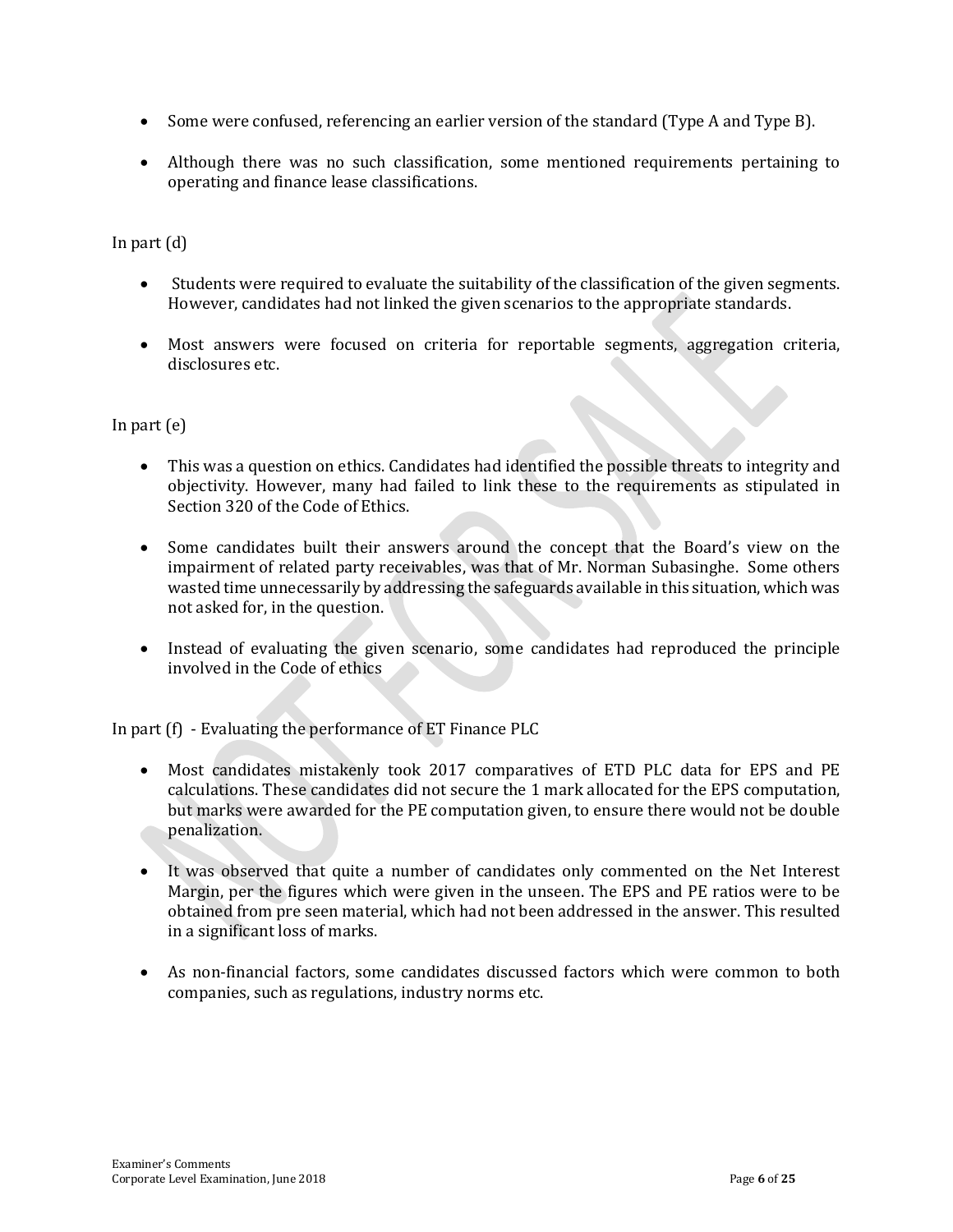- Some were confused, referencing an earlier version of the standard (Type A and Type B).
- Although there was no such classification, some mentioned requirements pertaining to operating and finance lease classifications.

In part (d)

- Students were required to evaluate the suitability of the classification of the given segments. However, candidates had not linked the given scenarios to the appropriate standards.
- Most answers were focused on criteria for reportable segments, aggregation criteria, disclosures etc.

In part (e)

- This was a question on ethics. Candidates had identified the possible threats to integrity and objectivity. However, many had failed to link these to the requirements as stipulated in Section 320 of the Code of Ethics.
- Some candidates built their answers around the concept that the Board's view on the impairment of related party receivables, was that of Mr. Norman Subasinghe. Some others wasted time unnecessarily by addressing the safeguards available in this situation, which was not asked for, in the question.
- Instead of evaluating the given scenario, some candidates had reproduced the principle involved in the Code of ethics

In part (f) - Evaluating the performance of ET Finance PLC

- Most candidates mistakenly took 2017 comparatives of ETD PLC data for EPS and PE calculations. These candidates did not secure the 1 mark allocated for the EPS computation, but marks were awarded for the PE computation given, to ensure there would not be double penalization.
- It was observed that quite a number of candidates only commented on the Net Interest Margin, per the figures which were given in the unseen. The EPS and PE ratios were to be obtained from pre seen material, which had not been addressed in the answer. This resulted in a significant loss of marks.
- As non-financial factors, some candidates discussed factors which were common to both companies, such as regulations, industry norms etc.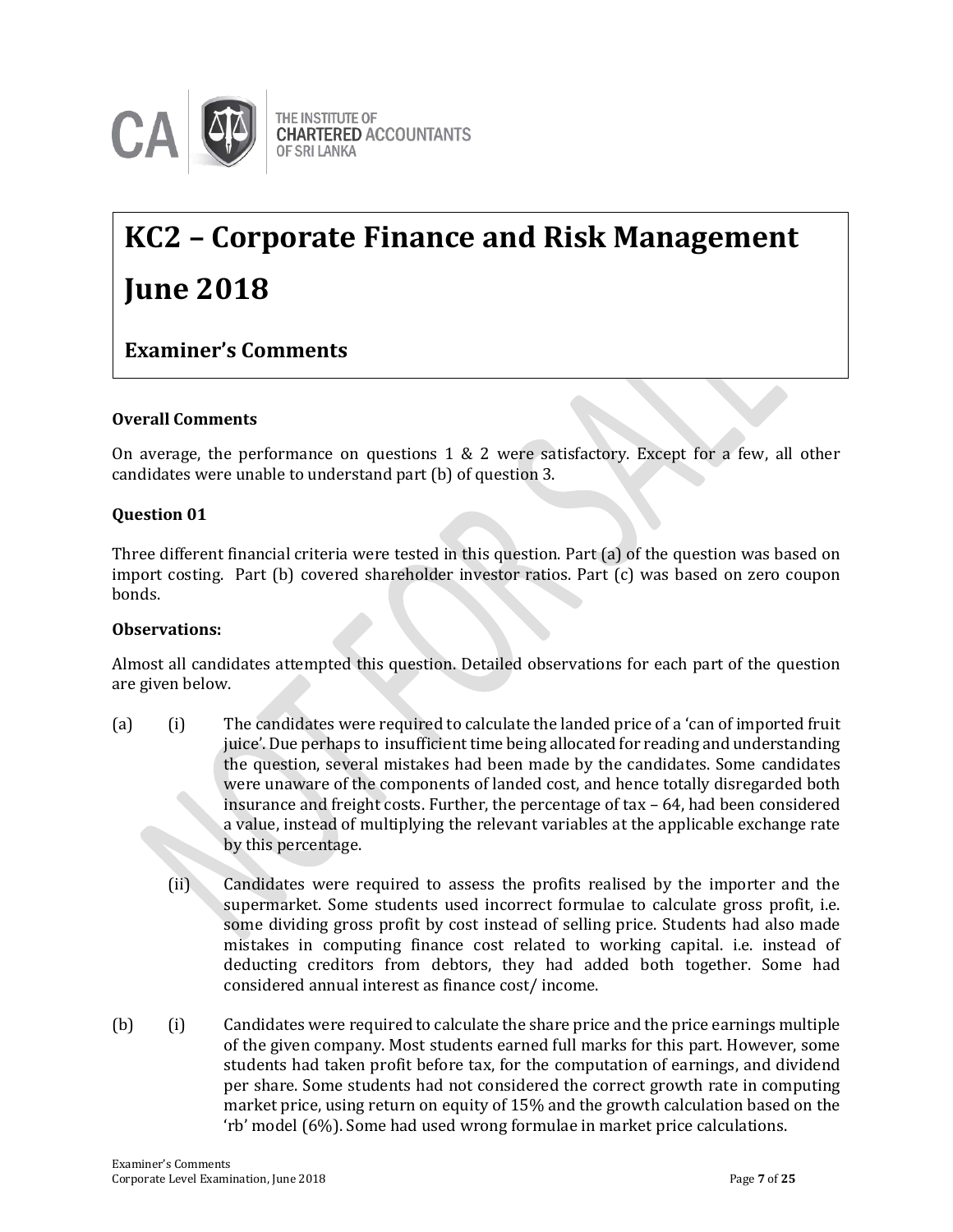

# **KC2 – Corporate Finance and Risk Management June 2018**

## **Examiner's Comments**

#### **Overall Comments**

On average, the performance on questions 1 & 2 were satisfactory. Except for a few, all other candidates were unable to understand part (b) of question 3.

#### **Question 01**

Three different financial criteria were tested in this question. Part (a) of the question was based on import costing. Part (b) covered shareholder investor ratios. Part (c) was based on zero coupon bonds.

#### **Observations:**

Almost all candidates attempted this question. Detailed observations for each part of the question are given below.

- (a) (i) The candidates were required to calculate the landed price of a 'can of imported fruit juice'. Due perhaps to insufficient time being allocated for reading and understanding the question, several mistakes had been made by the candidates. Some candidates were unaware of the components of landed cost, and hence totally disregarded both insurance and freight costs. Further, the percentage of tax – 64, had been considered a value, instead of multiplying the relevant variables at the applicable exchange rate by this percentage.
	- (ii) Candidates were required to assess the profits realised by the importer and the supermarket. Some students used incorrect formulae to calculate gross profit, i.e. some dividing gross profit by cost instead of selling price. Students had also made mistakes in computing finance cost related to working capital. i.e. instead of deducting creditors from debtors, they had added both together. Some had considered annual interest as finance cost/ income.
- (b) (i) Candidates were required to calculate the share price and the price earnings multiple of the given company. Most students earned full marks for this part. However, some students had taken profit before tax, for the computation of earnings, and dividend per share. Some students had not considered the correct growth rate in computing market price, using return on equity of 15% and the growth calculation based on the 'rb' model (6%). Some had used wrong formulae in market price calculations.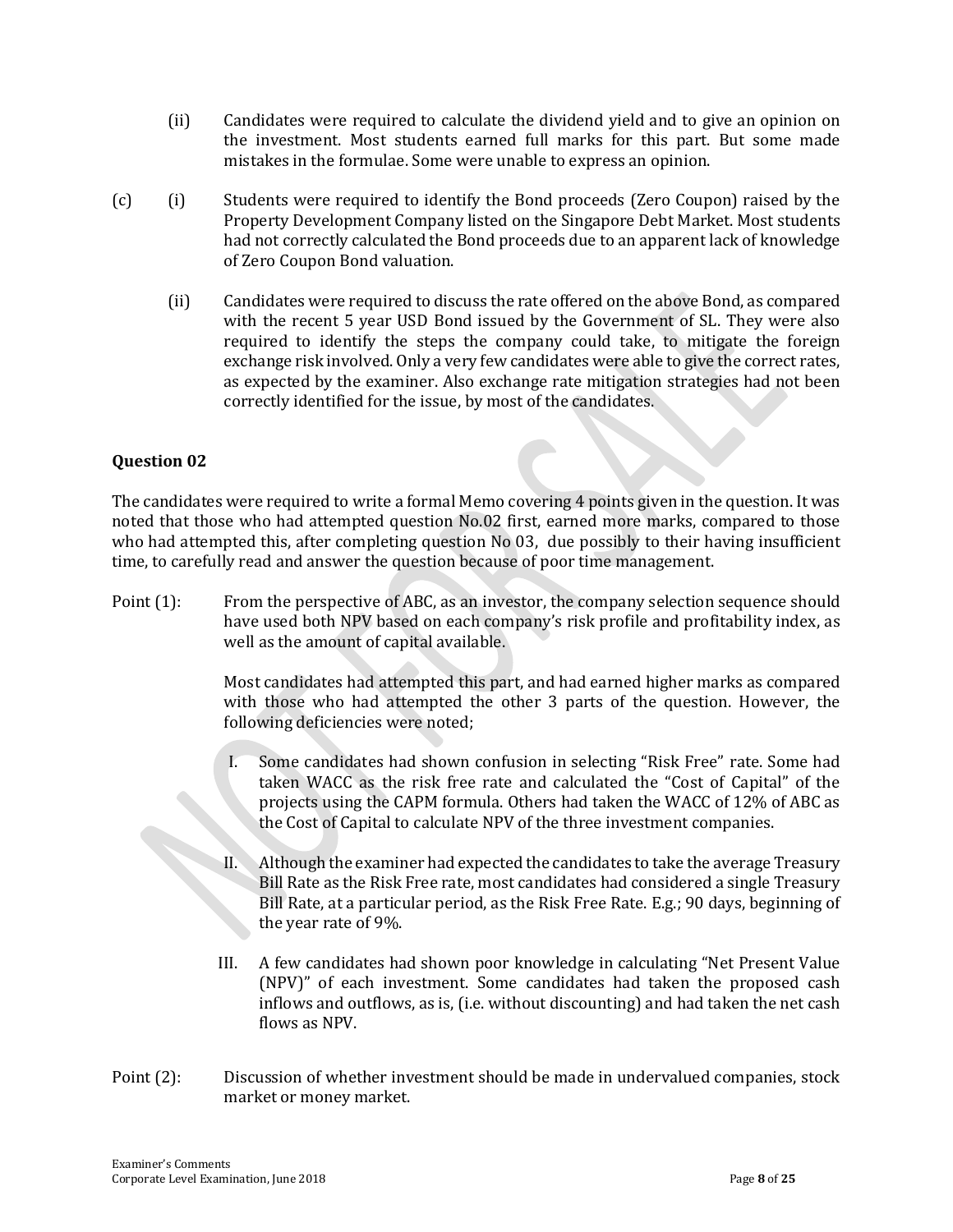- (ii) Candidates were required to calculate the dividend yield and to give an opinion on the investment. Most students earned full marks for this part. But some made mistakes in the formulae. Some were unable to express an opinion.
- (c) (i) Students were required to identify the Bond proceeds (Zero Coupon) raised by the Property Development Company listed on the Singapore Debt Market. Most students had not correctly calculated the Bond proceeds due to an apparent lack of knowledge of Zero Coupon Bond valuation.
	- (ii) Candidates were required to discuss the rate offered on the above Bond, as compared with the recent 5 year USD Bond issued by the Government of SL. They were also required to identify the steps the company could take, to mitigate the foreign exchange risk involved. Only a very few candidates were able to give the correct rates, as expected by the examiner. Also exchange rate mitigation strategies had not been correctly identified for the issue, by most of the candidates.

## **Question 02**

The candidates were required to write a formal Memo covering 4 points given in the question. It was noted that those who had attempted question No.02 first, earned more marks, compared to those who had attempted this, after completing question No 03, due possibly to their having insufficient time, to carefully read and answer the question because of poor time management.

Point (1): From the perspective of ABC, as an investor, the company selection sequence should have used both NPV based on each company's risk profile and profitability index, as well as the amount of capital available.

> Most candidates had attempted this part, and had earned higher marks as compared with those who had attempted the other 3 parts of the question. However, the following deficiencies were noted;

- I. Some candidates had shown confusion in selecting "Risk Free" rate. Some had taken WACC as the risk free rate and calculated the "Cost of Capital" of the projects using the CAPM formula. Others had taken the WACC of 12% of ABC as the Cost of Capital to calculate NPV of the three investment companies.
- II. Although the examiner had expected the candidates to take the average Treasury Bill Rate as the Risk Free rate, most candidates had considered a single Treasury Bill Rate, at a particular period, as the Risk Free Rate. E.g.; 90 days, beginning of the year rate of 9%.
- III. A few candidates had shown poor knowledge in calculating "Net Present Value (NPV)" of each investment. Some candidates had taken the proposed cash inflows and outflows, as is, (i.e. without discounting) and had taken the net cash flows as NPV.
- Point (2): Discussion of whether investment should be made in undervalued companies, stock market or money market.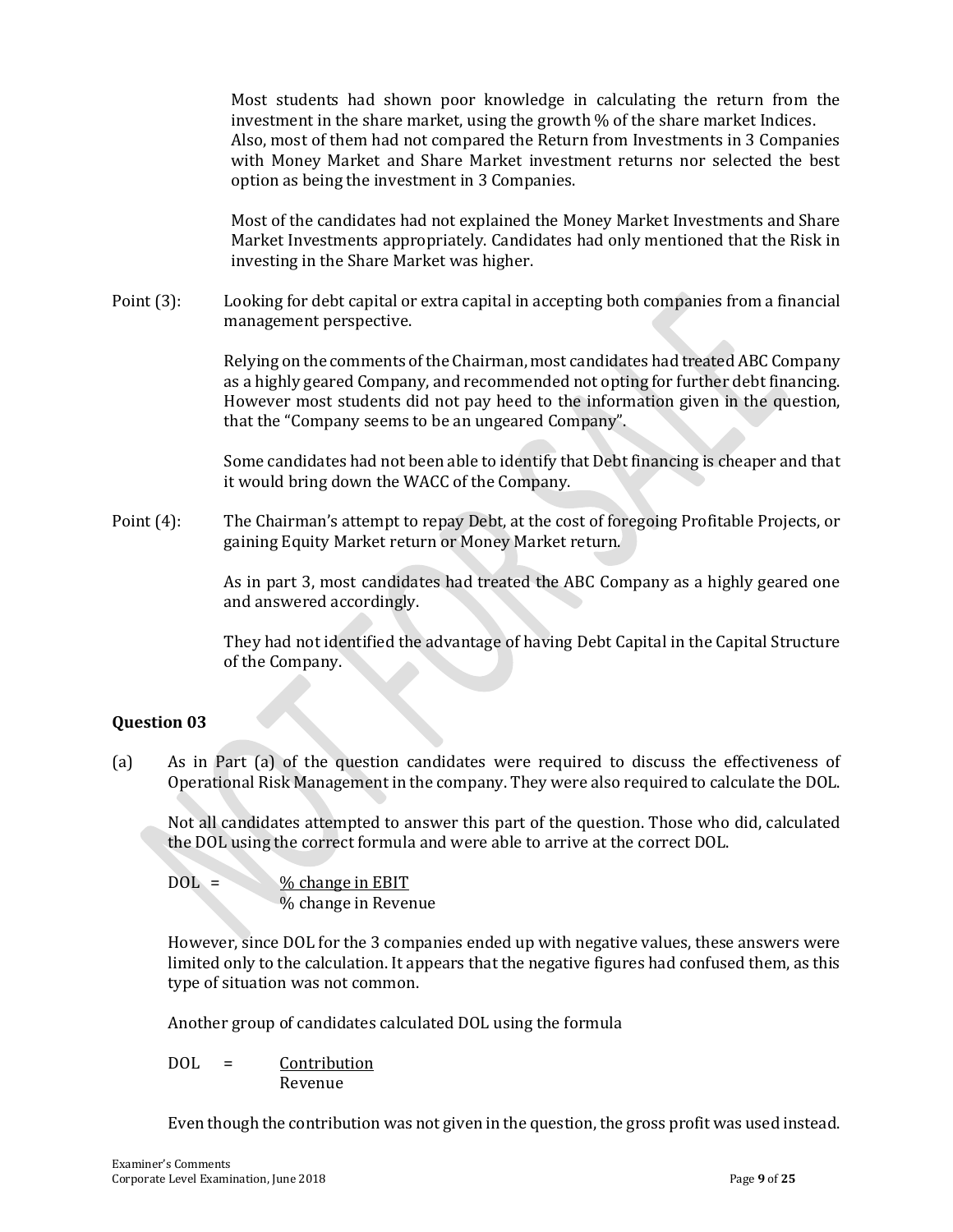Most students had shown poor knowledge in calculating the return from the investment in the share market, using the growth % of the share market Indices. Also, most of them had not compared the Return from Investments in 3 Companies with Money Market and Share Market investment returns nor selected the best option as being the investment in 3 Companies.

Most of the candidates had not explained the Money Market Investments and Share Market Investments appropriately. Candidates had only mentioned that the Risk in investing in the Share Market was higher.

Point (3): Looking for debt capital or extra capital in accepting both companies from a financial management perspective.

> Relying on the comments of the Chairman, most candidates had treated ABC Company as a highly geared Company, and recommended not opting for further debt financing. However most students did not pay heed to the information given in the question, that the "Company seems to be an ungeared Company".

> Some candidates had not been able to identify that Debt financing is cheaper and that it would bring down the WACC of the Company.

Point (4): The Chairman's attempt to repay Debt, at the cost of foregoing Profitable Projects, or gaining Equity Market return or Money Market return.

> As in part 3, most candidates had treated the ABC Company as a highly geared one and answered accordingly.

> They had not identified the advantage of having Debt Capital in the Capital Structure of the Company.

## **Question 03**

(a) As in Part (a) of the question candidates were required to discuss the effectiveness of Operational Risk Management in the company. They were also required to calculate the DOL.

Not all candidates attempted to answer this part of the question. Those who did, calculated the DOL using the correct formula and were able to arrive at the correct DOL.

 $DOL = % change in EBIT$ % change in Revenue

However, since DOL for the 3 companies ended up with negative values, these answers were limited only to the calculation. It appears that the negative figures had confused them, as this type of situation was not common.

Another group of candidates calculated DOL using the formula

DOL = Contribution Revenue

Even though the contribution was not given in the question, the gross profit was used instead.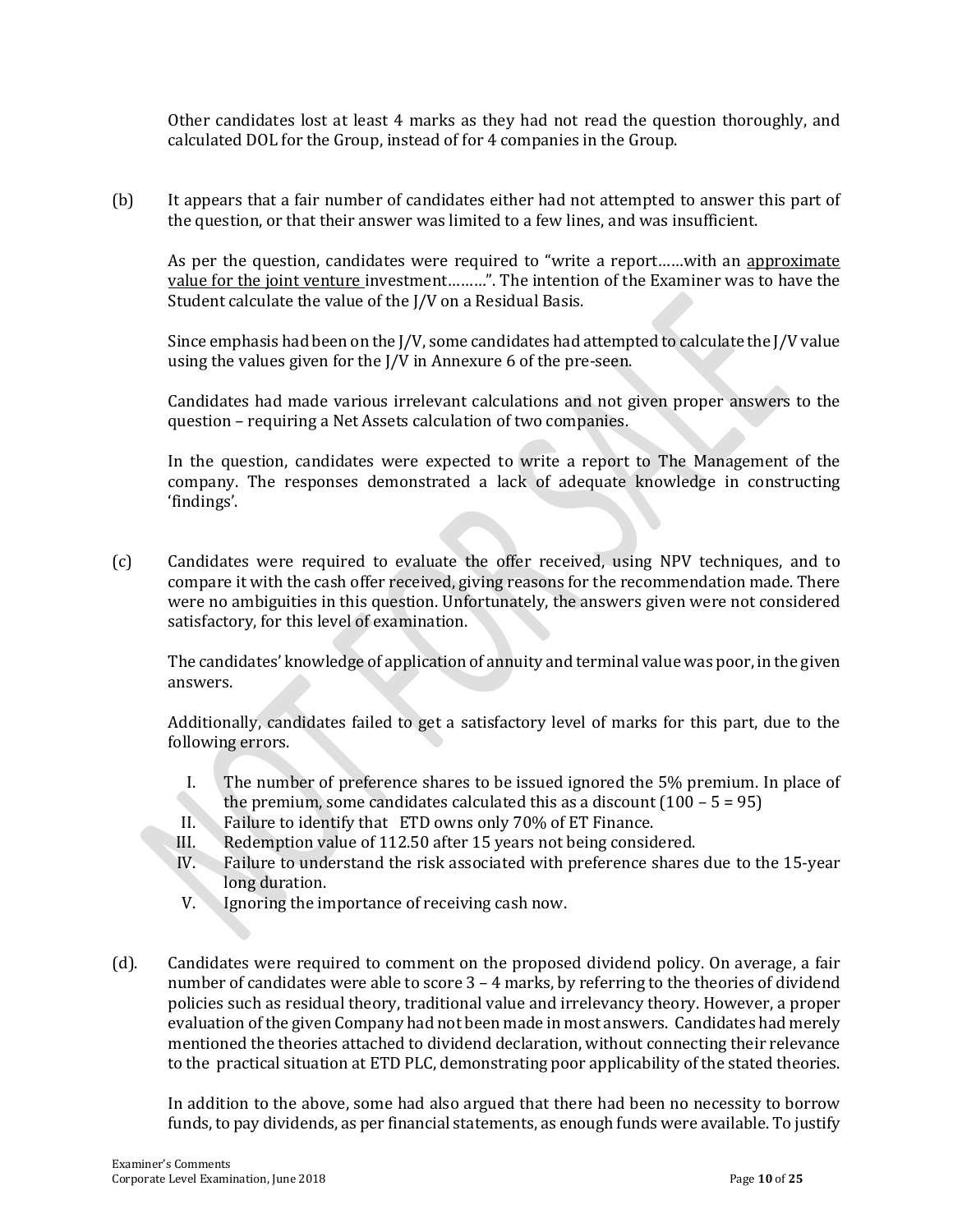Other candidates lost at least 4 marks as they had not read the question thoroughly, and calculated DOL for the Group, instead of for 4 companies in the Group.

(b) It appears that a fair number of candidates either had not attempted to answer this part of the question, or that their answer was limited to a few lines, and was insufficient.

As per the question, candidates were required to "write a report......with an approximate value for the joint venture investment………". The intention of the Examiner was to have the Student calculate the value of the J/V on a Residual Basis.

Since emphasis had been on the J/V, some candidates had attempted to calculate the J/V value using the values given for the J/V in Annexure 6 of the pre-seen.

Candidates had made various irrelevant calculations and not given proper answers to the question – requiring a Net Assets calculation of two companies.

In the question, candidates were expected to write a report to The Management of the company. The responses demonstrated a lack of adequate knowledge in constructing 'findings'.

(c) Candidates were required to evaluate the offer received, using NPV techniques, and to compare it with the cash offer received, giving reasons for the recommendation made. There were no ambiguities in this question. Unfortunately, the answers given were not considered satisfactory, for this level of examination.

The candidates' knowledge of application of annuity and terminal value was poor, in the given answers.

Additionally, candidates failed to get a satisfactory level of marks for this part, due to the following errors.

- I. The number of preference shares to be issued ignored the 5% premium. In place of the premium, some candidates calculated this as a discount  $(100 - 5 = 95)$
- II. Failure to identify that ETD owns only 70% of ET Finance.
- III. Redemption value of 112.50 after 15 years not being considered.
- IV. Failure to understand the risk associated with preference shares due to the 15-year long duration.
- V. Ignoring the importance of receiving cash now.
- (d). Candidates were required to comment on the proposed dividend policy. On average, a fair number of candidates were able to score 3 – 4 marks, by referring to the theories of dividend policies such as residual theory, traditional value and irrelevancy theory. However, a proper evaluation of the given Company had not been made in most answers. Candidates had merely mentioned the theories attached to dividend declaration, without connecting their relevance to the practical situation at ETD PLC, demonstrating poor applicability of the stated theories.

In addition to the above, some had also argued that there had been no necessity to borrow funds,to pay dividends, as per financial statements, as enough funds were available. To justify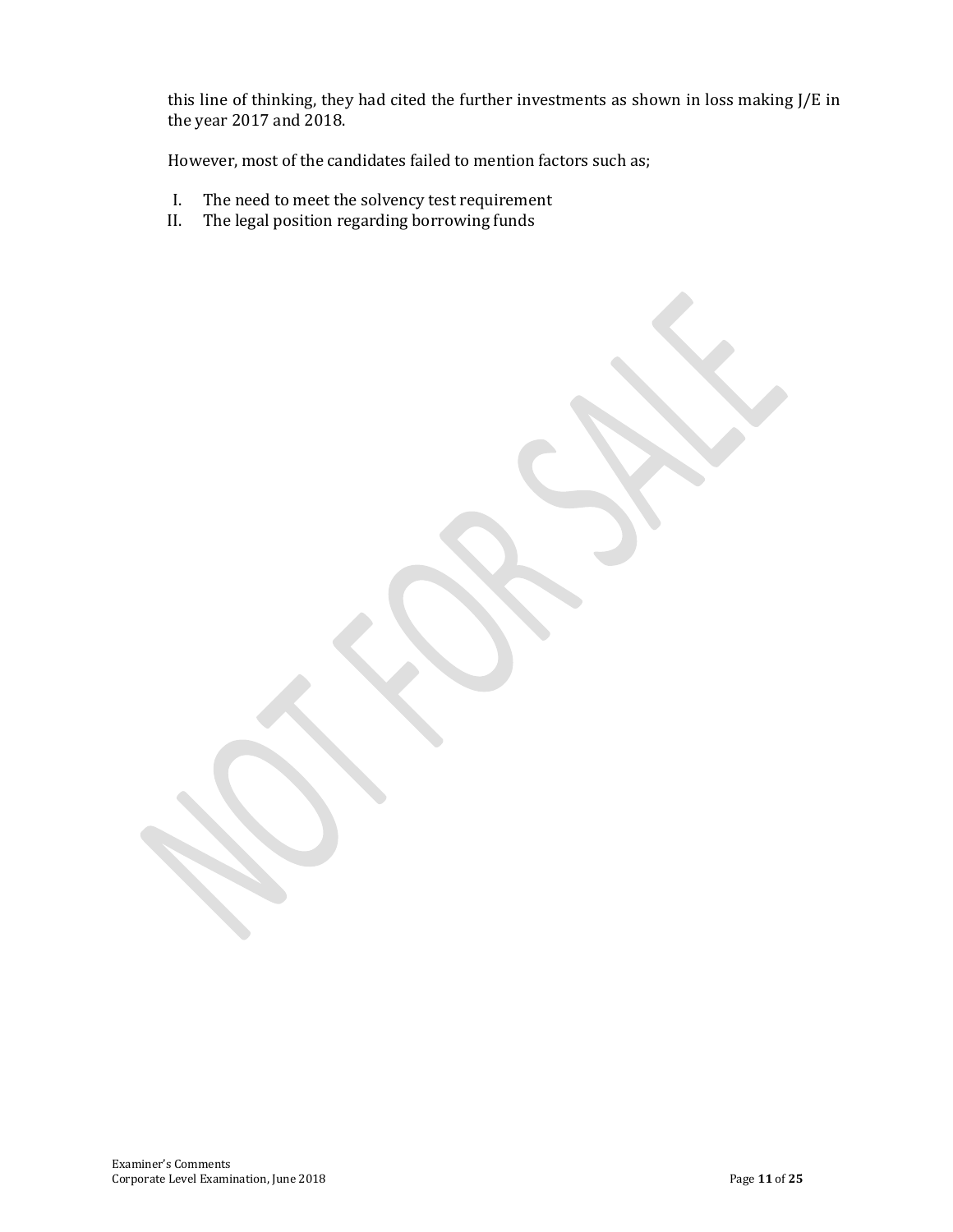this line of thinking, they had cited the further investments as shown in loss making J/E in the year 2017 and 2018.

However, most of the candidates failed to mention factors such as;

- I. The need to meet the solvency test requirement
- II. The legal position regarding borrowing funds

Examiner's Comments Corporate Level Examination, June 2018 Page **11** of **25**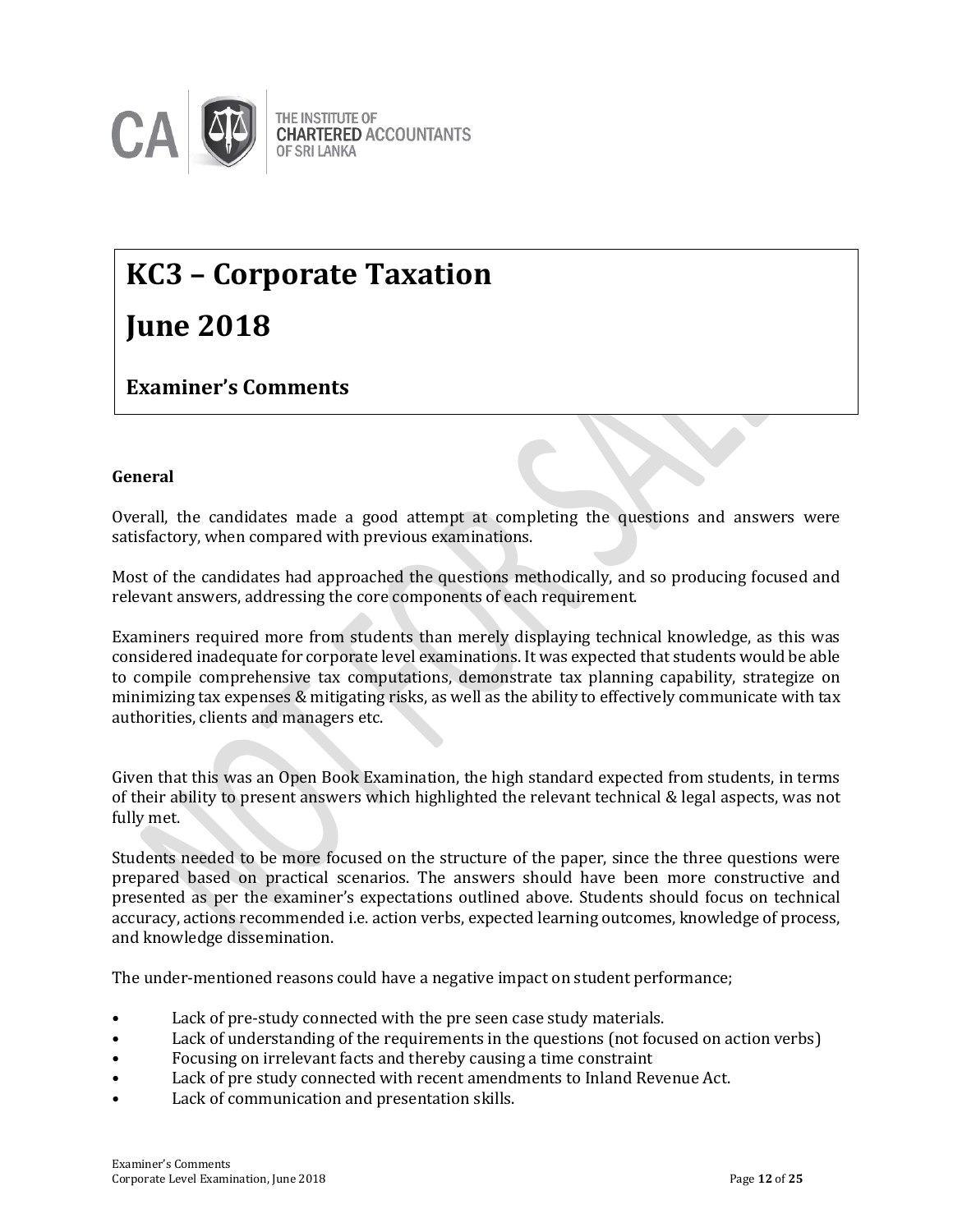

# **KC3 – Corporate Taxation June 2018**

## **Examiner's Comments**

## **General**

Overall, the candidates made a good attempt at completing the questions and answers were satisfactory, when compared with previous examinations.

Most of the candidates had approached the questions methodically, and so producing focused and relevant answers, addressing the core components of each requirement.

Examiners required more from students than merely displaying technical knowledge, as this was considered inadequate for corporate level examinations. It was expected that students would be able to compile comprehensive tax computations, demonstrate tax planning capability, strategize on minimizing tax expenses & mitigating risks, as well as the ability to effectively communicate with tax authorities, clients and managers etc.

Given that this was an Open Book Examination, the high standard expected from students, in terms of their ability to present answers which highlighted the relevant technical & legal aspects, was not fully met.

Students needed to be more focused on the structure of the paper, since the three questions were prepared based on practical scenarios. The answers should have been more constructive and presented as per the examiner's expectations outlined above. Students should focus on technical accuracy, actions recommended i.e. action verbs, expected learning outcomes, knowledge of process, and knowledge dissemination.

The under-mentioned reasons could have a negative impact on student performance;

- Lack of pre-study connected with the pre seen case study materials.
- Lack of understanding of the requirements in the questions (not focused on action verbs)
- Focusing on irrelevant facts and thereby causing a time constraint
- Lack of pre study connected with recent amendments to Inland Revenue Act.
- Lack of communication and presentation skills.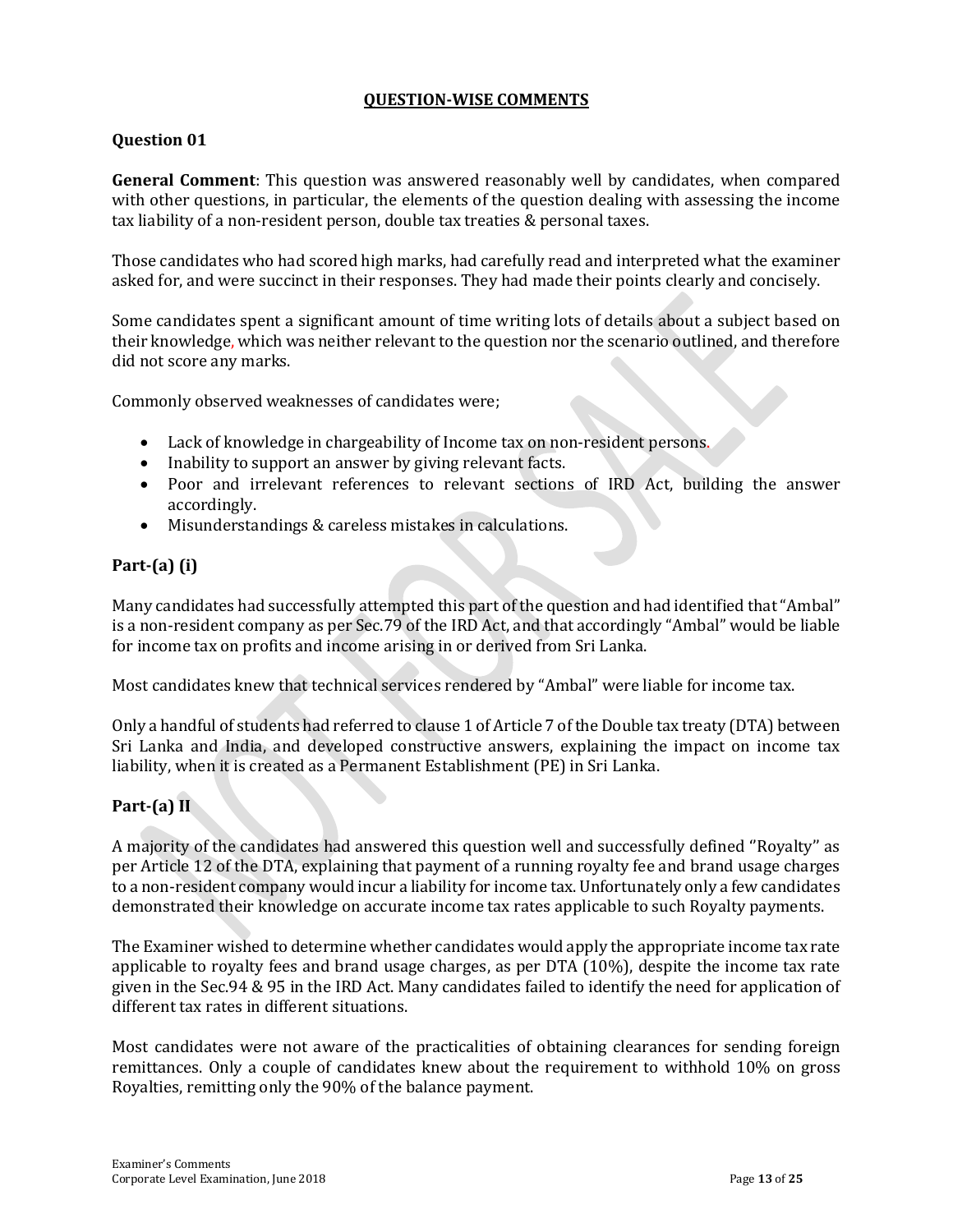#### **QUESTION-WISE COMMENTS**

#### **Question 01**

**General Comment**: This question was answered reasonably well by candidates, when compared with other questions, in particular, the elements of the question dealing with assessing the income tax liability of a non-resident person, double tax treaties & personal taxes.

Those candidates who had scored high marks, had carefully read and interpreted what the examiner asked for, and were succinct in their responses. They had made their points clearly and concisely.

Some candidates spent a significant amount of time writing lots of details about a subject based on their knowledge, which was neither relevant to the question nor the scenario outlined, and therefore did not score any marks.

Commonly observed weaknesses of candidates were;

- Lack of knowledge in chargeability of Income tax on non-resident persons.
- Inability to support an answer by giving relevant facts.
- Poor and irrelevant references to relevant sections of IRD Act, building the answer accordingly.
- Misunderstandings & careless mistakes in calculations.

## **Part-(a) (i)**

Many candidates had successfully attempted this part of the question and had identified that "Ambal" is a non-resident company as per Sec.79 of the IRD Act, and that accordingly "Ambal" would be liable for income tax on profits and income arising in or derived from Sri Lanka.

Most candidates knew that technical services rendered by "Ambal" were liable for income tax.

Only a handful of students had referred to clause 1 of Article 7 of the Double tax treaty (DTA) between Sri Lanka and India, and developed constructive answers, explaining the impact on income tax liability, when it is created as a Permanent Establishment (PE) in Sri Lanka.

#### **Part-(a) II**

A majority of the candidates had answered this question well and successfully defined ''Royalty'' as per Article 12 of the DTA, explaining that payment of a running royalty fee and brand usage charges to a non-resident company would incur a liability for income tax. Unfortunately only a few candidates demonstrated their knowledge on accurate income tax rates applicable to such Royalty payments.

The Examiner wished to determine whether candidates would apply the appropriate income tax rate applicable to royalty fees and brand usage charges, as per DTA (10%), despite the income tax rate given in the Sec.94 & 95 in the IRD Act. Many candidates failed to identify the need for application of different tax rates in different situations.

Most candidates were not aware of the practicalities of obtaining clearances for sending foreign remittances. Only a couple of candidates knew about the requirement to withhold 10% on gross Royalties, remitting only the 90% of the balance payment.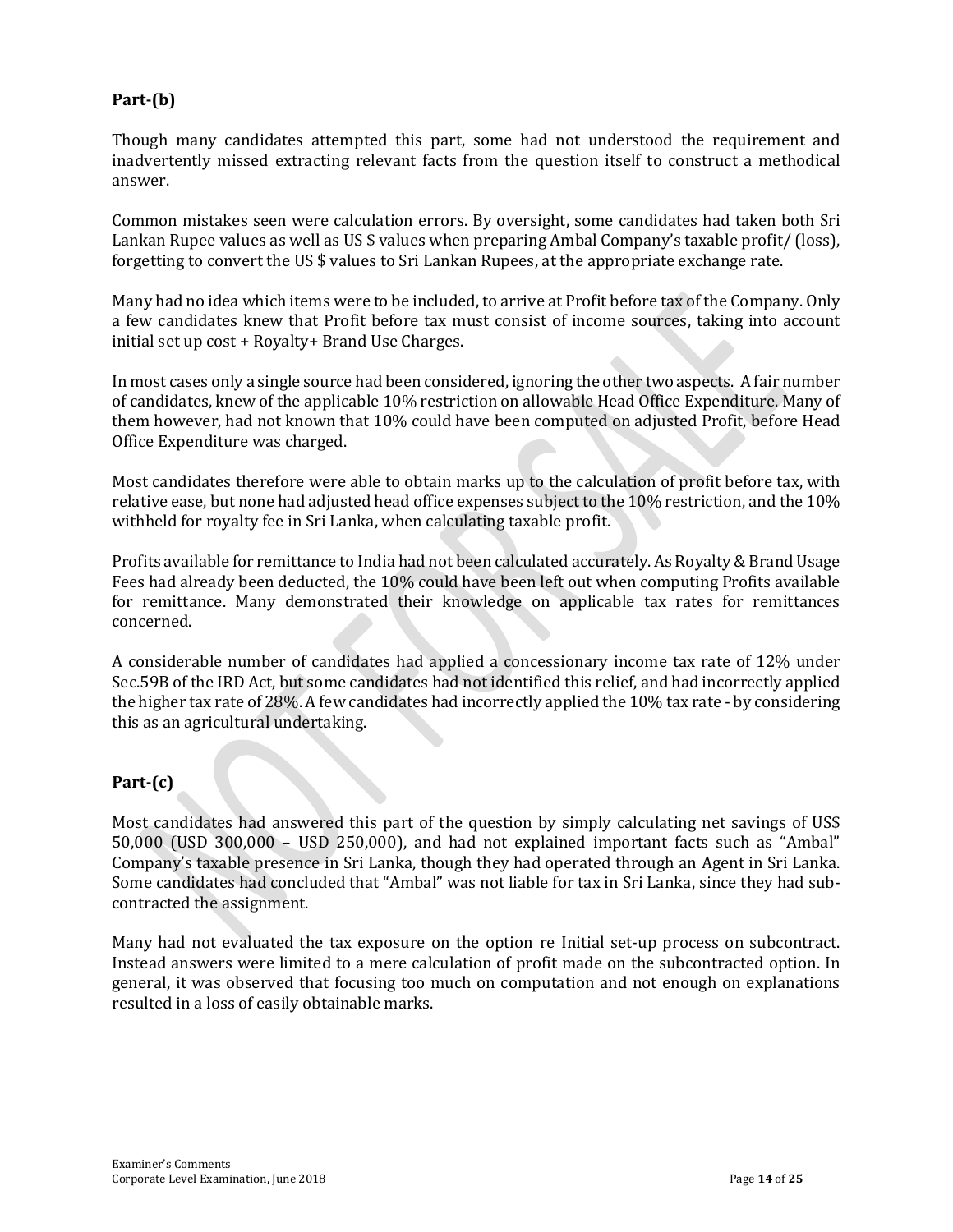#### **Part-(b)**

Though many candidates attempted this part, some had not understood the requirement and inadvertently missed extracting relevant facts from the question itself to construct a methodical answer.

Common mistakes seen were calculation errors. By oversight, some candidates had taken both Sri Lankan Rupee values as well as US \$ values when preparing Ambal Company's taxable profit/ (loss), forgetting to convert the US \$ values to Sri Lankan Rupees, at the appropriate exchange rate.

Many had no idea which items were to be included, to arrive at Profit before tax of the Company. Only a few candidates knew that Profit before tax must consist of income sources, taking into account initial set up cost + Royalty+ Brand Use Charges.

In most cases only a single source had been considered, ignoring the other two aspects. A fair number of candidates, knew of the applicable 10% restriction on allowable Head Office Expenditure. Many of them however, had not known that 10% could have been computed on adjusted Profit, before Head Office Expenditure was charged.

Most candidates therefore were able to obtain marks up to the calculation of profit before tax, with relative ease, but none had adjusted head office expenses subject to the 10% restriction, and the 10% withheld for royalty fee in Sri Lanka, when calculating taxable profit.

Profits available for remittance to India had not been calculated accurately. As Royalty & Brand Usage Fees had already been deducted, the 10% could have been left out when computing Profits available for remittance. Many demonstrated their knowledge on applicable tax rates for remittances concerned.

A considerable number of candidates had applied a concessionary income tax rate of 12% under Sec.59B of the IRD Act, but some candidates had not identified this relief, and had incorrectly applied the higher tax rate of 28%. A few candidates had incorrectly applied the 10% tax rate - by considering this as an agricultural undertaking.

## **Part-(c)**

Most candidates had answered this part of the question by simply calculating net savings of US\$ 50,000 (USD 300,000 – USD 250,000), and had not explained important facts such as "Ambal" Company's taxable presence in Sri Lanka, though they had operated through an Agent in Sri Lanka. Some candidates had concluded that "Ambal" was not liable for tax in Sri Lanka, since they had subcontracted the assignment.

Many had not evaluated the tax exposure on the option re Initial set-up process on subcontract. Instead answers were limited to a mere calculation of profit made on the subcontracted option. In general, it was observed that focusing too much on computation and not enough on explanations resulted in a loss of easily obtainable marks.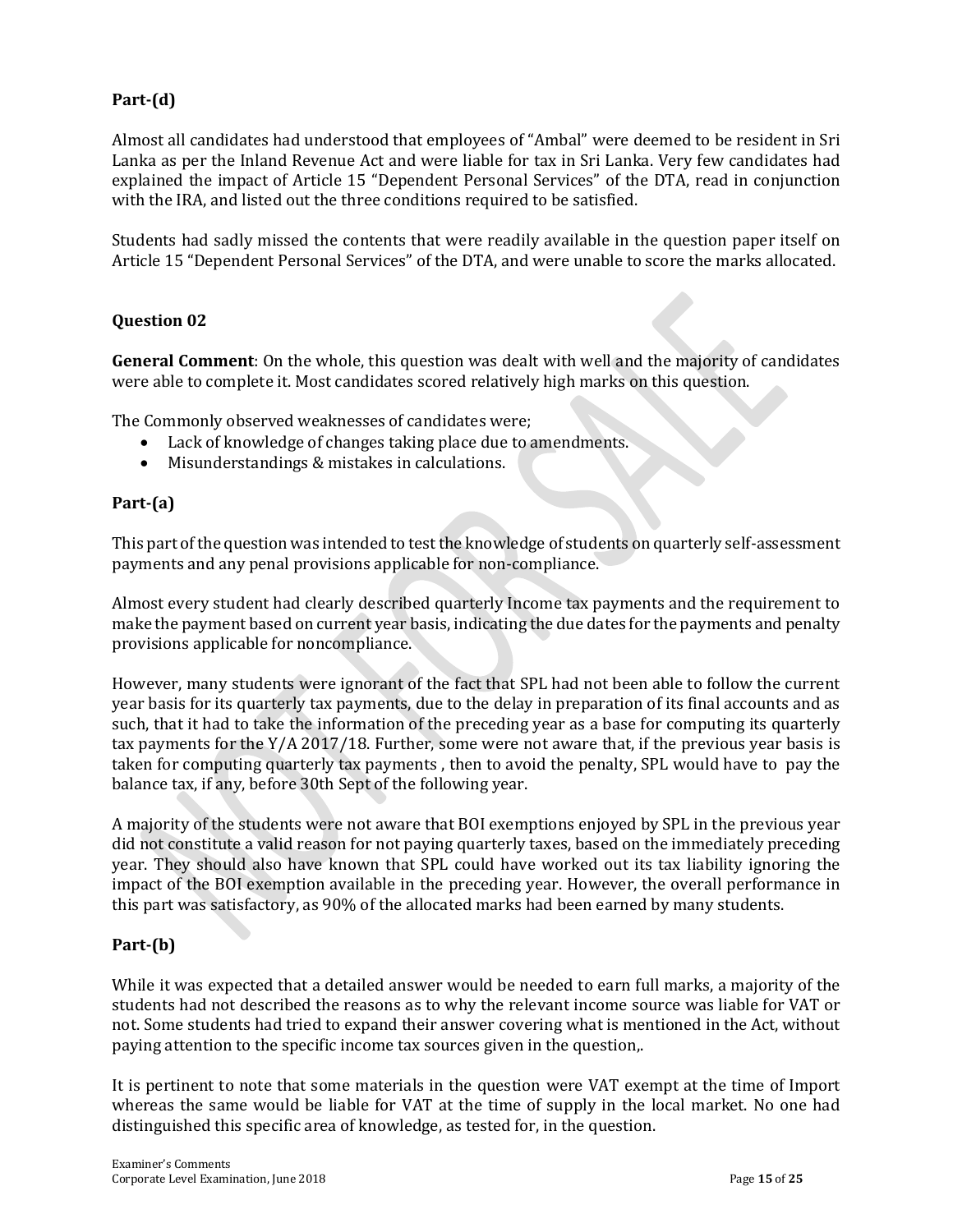## **Part-(d)**

Almost all candidates had understood that employees of "Ambal" were deemed to be resident in Sri Lanka as per the Inland Revenue Act and were liable for tax in Sri Lanka. Very few candidates had explained the impact of Article 15 "Dependent Personal Services" of the DTA, read in conjunction with the IRA, and listed out the three conditions required to be satisfied.

Students had sadly missed the contents that were readily available in the question paper itself on Article 15 "Dependent Personal Services" of the DTA, and were unable to score the marks allocated.

## **Question 02**

**General Comment**: On the whole, this question was dealt with well and the majority of candidates were able to complete it. Most candidates scored relatively high marks on this question.

The Commonly observed weaknesses of candidates were;

- Lack of knowledge of changes taking place due to amendments.
- Misunderstandings & mistakes in calculations.

#### **Part-(a)**

This part of the question was intended to test the knowledge of students on quarterly self-assessment payments and any penal provisions applicable for non-compliance.

Almost every student had clearly described quarterly Income tax payments and the requirement to make the payment based on current year basis, indicating the due dates for the payments and penalty provisions applicable for noncompliance.

However, many students were ignorant of the fact that SPL had not been able to follow the current year basis for its quarterly tax payments, due to the delay in preparation of its final accounts and as such, that it had to take the information of the preceding year as a base for computing its quarterly tax payments for the Y/A 2017/18. Further, some were not aware that, if the previous year basis is taken for computing quarterly tax payments , then to avoid the penalty, SPL would have to pay the balance tax, if any, before 30th Sept of the following year.

A majority of the students were not aware that BOI exemptions enjoyed by SPL in the previous year did not constitute a valid reason for not paying quarterly taxes, based on the immediately preceding year. They should also have known that SPL could have worked out its tax liability ignoring the impact of the BOI exemption available in the preceding year. However, the overall performance in this part was satisfactory, as 90% of the allocated marks had been earned by many students.

#### **Part-(b)**

While it was expected that a detailed answer would be needed to earn full marks, a majority of the students had not described the reasons as to why the relevant income source was liable for VAT or not. Some students had tried to expand their answer covering what is mentioned in the Act, without paying attention to the specific income tax sources given in the question,.

It is pertinent to note that some materials in the question were VAT exempt at the time of Import whereas the same would be liable for VAT at the time of supply in the local market. No one had distinguished this specific area of knowledge, as tested for, in the question.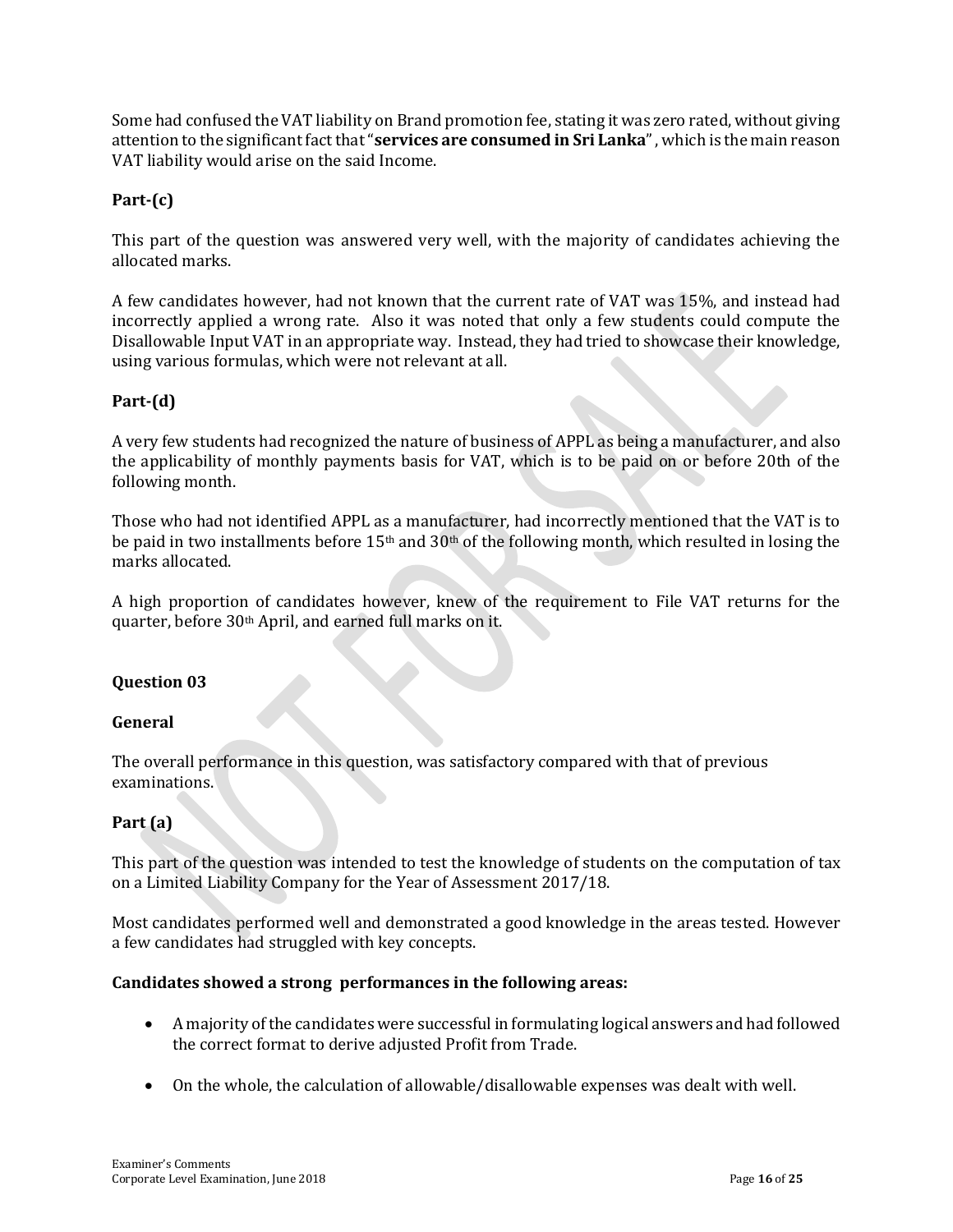Some had confused the VAT liability on Brand promotion fee, stating it was zero rated, without giving attention to the significant fact that"**services are consumed in Sri Lanka**" , which is the main reason VAT liability would arise on the said Income.

## **Part-(c)**

This part of the question was answered very well, with the majority of candidates achieving the allocated marks.

A few candidates however, had not known that the current rate of VAT was 15%, and instead had incorrectly applied a wrong rate. Also it was noted that only a few students could compute the Disallowable Input VAT in an appropriate way. Instead, they had tried to showcase their knowledge, using various formulas, which were not relevant at all.

## **Part-(d)**

A very few students had recognized the nature of business of APPL as being a manufacturer, and also the applicability of monthly payments basis for VAT, which is to be paid on or before 20th of the following month.

Those who had not identified APPL as a manufacturer, had incorrectly mentioned that the VAT is to be paid in two installments before 15<sup>th</sup> and 30<sup>th</sup> of the following month, which resulted in losing the marks allocated.

A high proportion of candidates however, knew of the requirement to File VAT returns for the quarter, before 30th April, and earned full marks on it.

#### **Question 03**

#### **General**

The overall performance in this question, was satisfactory compared with that of previous examinations.

#### **Part (a)**

This part of the question was intended to test the knowledge of students on the computation of tax on a Limited Liability Company for the Year of Assessment 2017/18.

Most candidates performed well and demonstrated a good knowledge in the areas tested. However a few candidates had struggled with key concepts.

#### **Candidates showed a strong performances in the following areas:**

- A majority of the candidates were successful in formulating logical answers and had followed the correct format to derive adjusted Profit from Trade.
- On the whole, the calculation of allowable/disallowable expenses was dealt with well.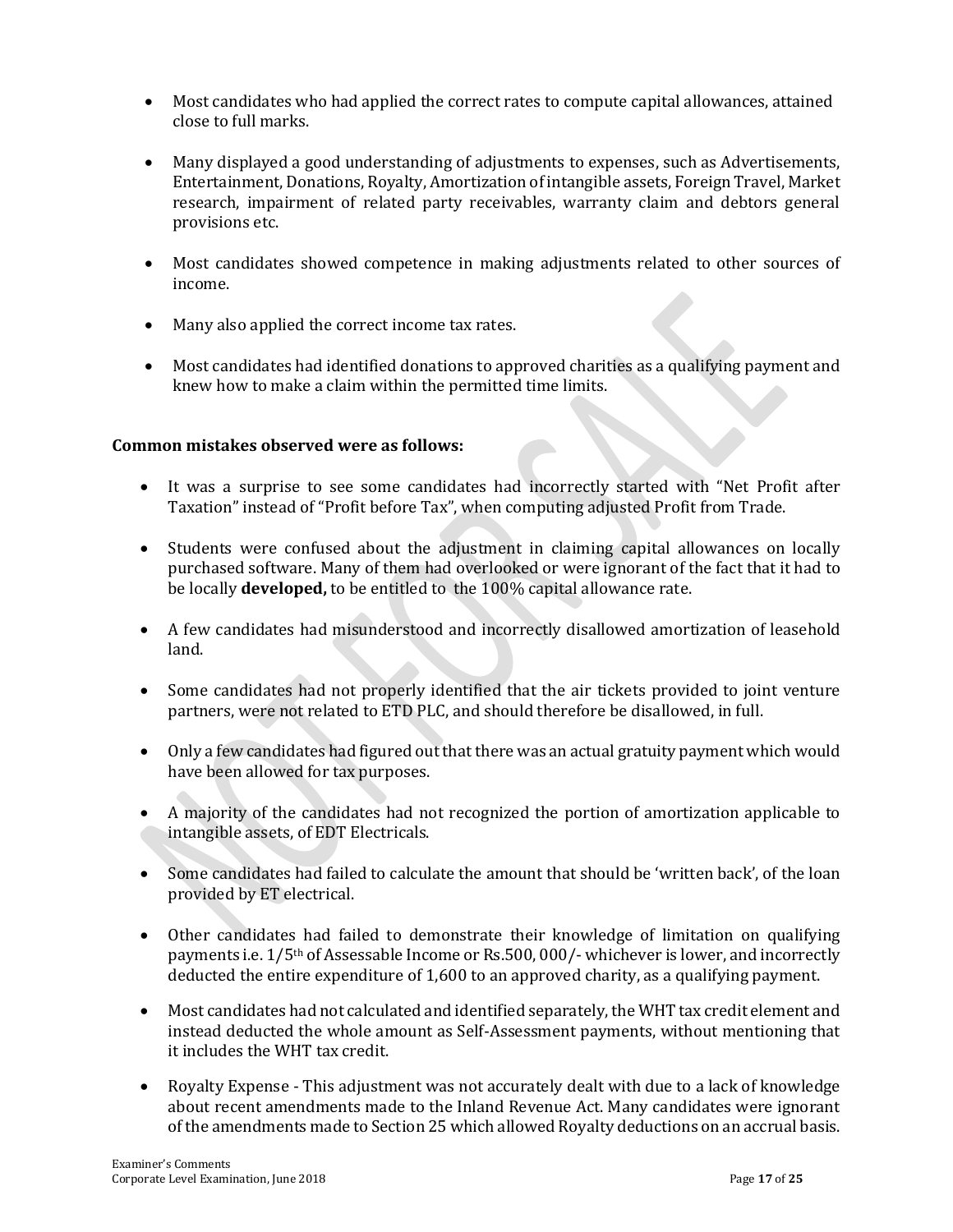- Most candidates who had applied the correct rates to compute capital allowances, attained close to full marks.
- Many displayed a good understanding of adjustments to expenses, such as Advertisements, Entertainment, Donations, Royalty, Amortization of intangible assets, Foreign Travel, Market research, impairment of related party receivables, warranty claim and debtors general provisions etc.
- Most candidates showed competence in making adjustments related to other sources of income.
- Many also applied the correct income tax rates.
- Most candidates had identified donations to approved charities as a qualifying payment and knew how to make a claim within the permitted time limits.

#### **Common mistakes observed were as follows:**

- It was a surprise to see some candidates had incorrectly started with "Net Profit after Taxation" instead of "Profit before Tax", when computing adjusted Profit from Trade.
- Students were confused about the adjustment in claiming capital allowances on locally purchased software. Many of them had overlooked or were ignorant of the fact that it had to be locally **developed,** to be entitled to the 100% capital allowance rate.
- A few candidates had misunderstood and incorrectly disallowed amortization of leasehold land.
- Some candidates had not properly identified that the air tickets provided to joint venture partners, were not related to ETD PLC, and should therefore be disallowed, in full.
- Only a few candidates had figured out that there was an actual gratuity payment which would have been allowed for tax purposes.
- A majority of the candidates had not recognized the portion of amortization applicable to intangible assets, of EDT Electricals.
- Some candidates had failed to calculate the amount that should be 'written back', of the loan provided by ET electrical.
- Other candidates had failed to demonstrate their knowledge of limitation on qualifying payments i.e. 1/5th of Assessable Income or Rs.500, 000/- whichever is lower, and incorrectly deducted the entire expenditure of 1,600 to an approved charity, as a qualifying payment.
- Most candidates had not calculated and identified separately, the WHT tax credit element and instead deducted the whole amount as Self-Assessment payments, without mentioning that it includes the WHT tax credit.
- Royalty Expense This adjustment was not accurately dealt with due to a lack of knowledge about recent amendments made to the Inland Revenue Act. Many candidates were ignorant of the amendments made to Section 25 which allowed Royalty deductions on an accrual basis.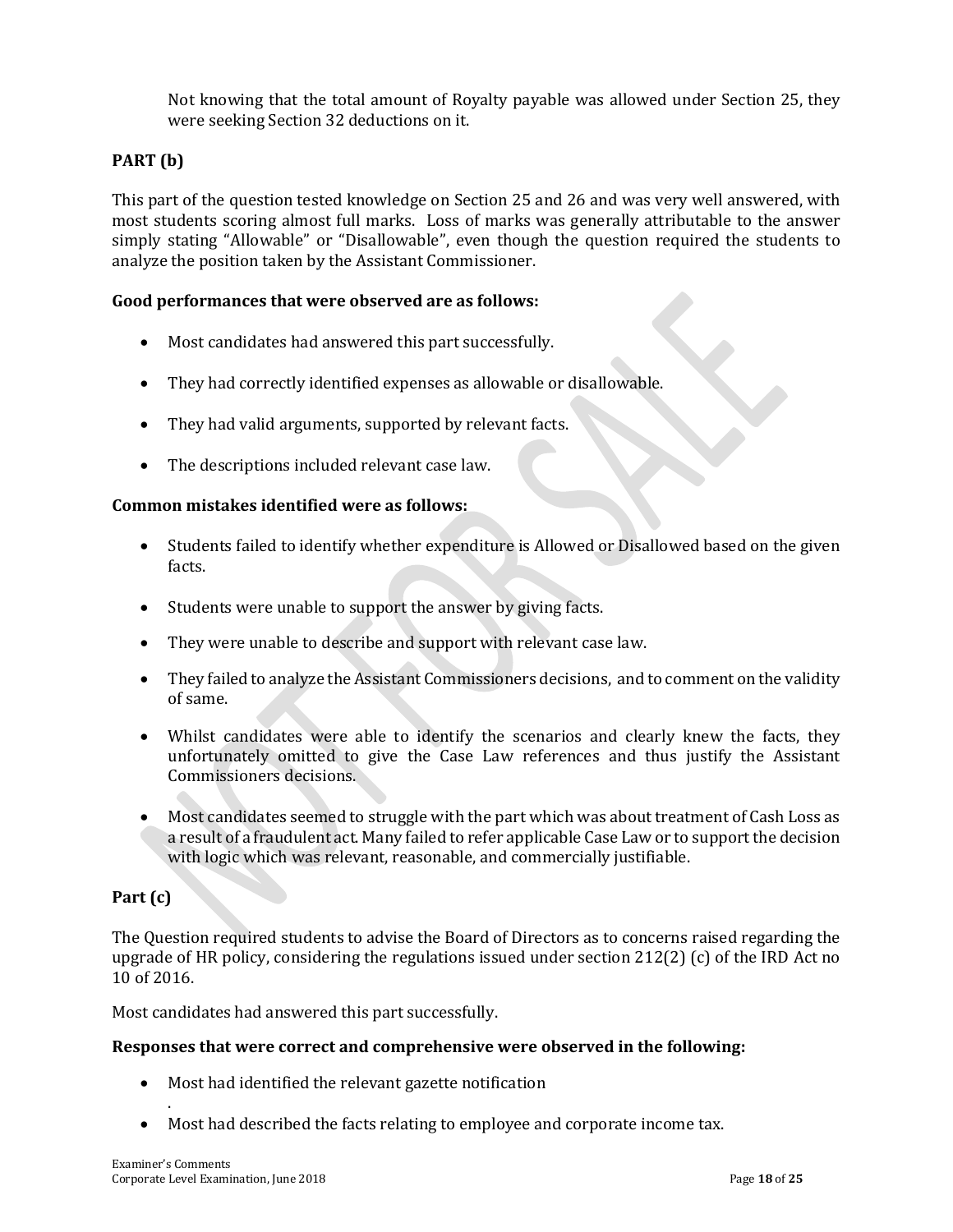Not knowing that the total amount of Royalty payable was allowed under Section 25, they were seeking Section 32 deductions on it.

## **PART (b)**

This part of the question tested knowledge on Section 25 and 26 and was very well answered, with most students scoring almost full marks. Loss of marks was generally attributable to the answer simply stating "Allowable" or "Disallowable", even though the question required the students to analyze the position taken by the Assistant Commissioner.

#### **Good performances that were observed are as follows:**

- Most candidates had answered this part successfully.
- They had correctly identified expenses as allowable or disallowable.
- They had valid arguments, supported by relevant facts.
- The descriptions included relevant case law.

#### **Common mistakes identified were as follows:**

- Students failed to identify whether expenditure is Allowed or Disallowed based on the given facts.
- Students were unable to support the answer by giving facts.
- They were unable to describe and support with relevant case law.
- They failed to analyze the Assistant Commissioners decisions, and to comment on the validity of same.
- Whilst candidates were able to identify the scenarios and clearly knew the facts, they unfortunately omitted to give the Case Law references and thus justify the Assistant Commissioners decisions.
- Most candidates seemed to struggle with the part which was about treatment of Cash Loss as a result of a fraudulent act. Many failed to refer applicable Case Law or to support the decision with logic which was relevant, reasonable, and commercially justifiable.

#### **Part (c)**

The Question required students to advise the Board of Directors as to concerns raised regarding the upgrade of HR policy, considering the regulations issued under section 212(2) (c) of the IRD Act no 10 of 2016.

Most candidates had answered this part successfully.

#### **Responses that were correct and comprehensive were observed in the following:**

- Most had identified the relevant gazette notification
- Most had described the facts relating to employee and corporate income tax.

.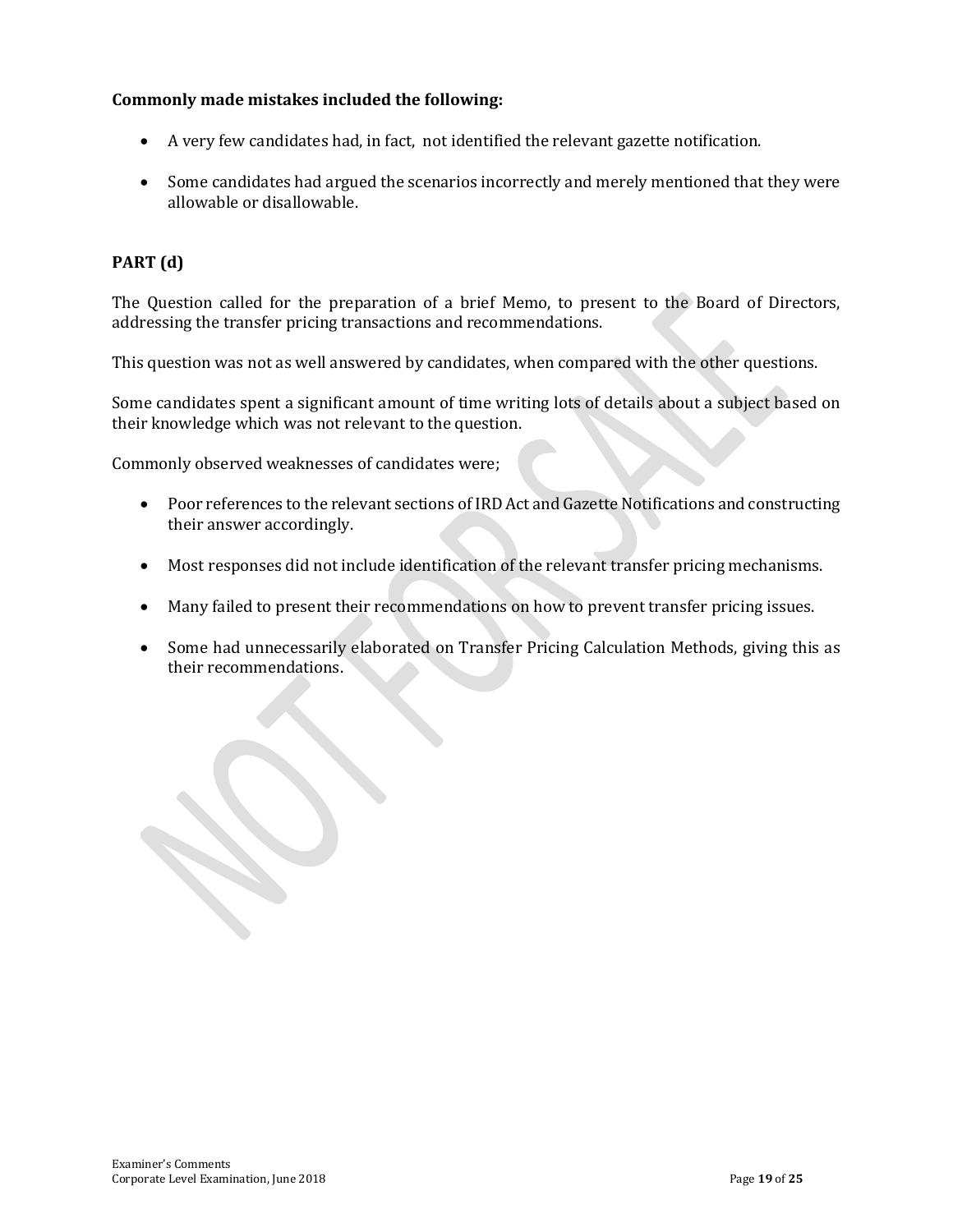#### **Commonly made mistakes included the following:**

- A very few candidates had, in fact, not identified the relevant gazette notification.
- Some candidates had argued the scenarios incorrectly and merely mentioned that they were allowable or disallowable.

## **PART (d)**

The Question called for the preparation of a brief Memo, to present to the Board of Directors, addressing the transfer pricing transactions and recommendations.

This question was not as well answered by candidates, when compared with the other questions.

Some candidates spent a significant amount of time writing lots of details about a subject based on their knowledge which was not relevant to the question.

Commonly observed weaknesses of candidates were;

- Poor references to the relevant sections of IRD Act and Gazette Notifications and constructing their answer accordingly.
- Most responses did not include identification of the relevant transfer pricing mechanisms.
- Many failed to present their recommendations on how to prevent transfer pricing issues.
- Some had unnecessarily elaborated on Transfer Pricing Calculation Methods, giving this as their recommendations.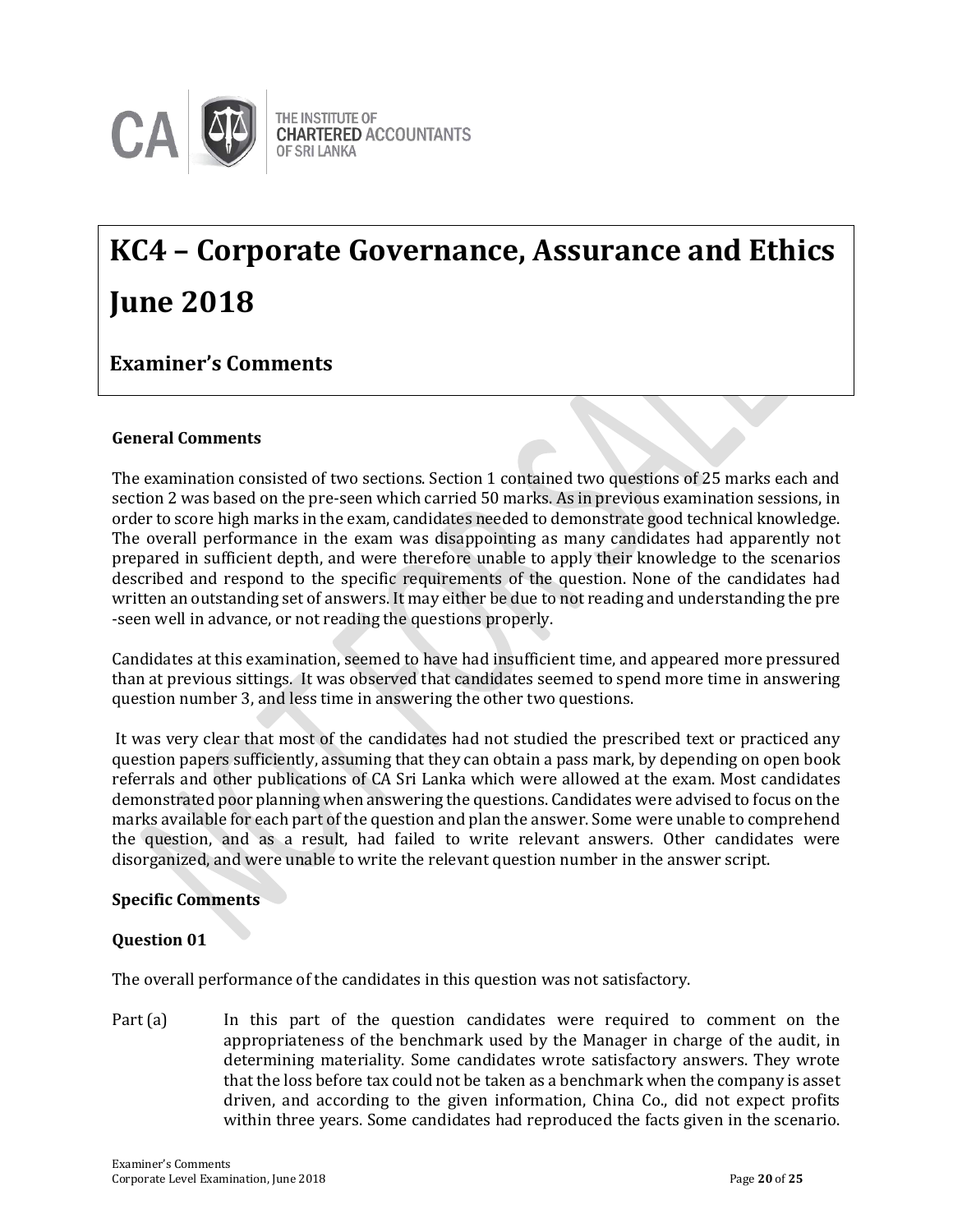

# **KC4 – Corporate Governance, Assurance and Ethics June 2018**

## **Examiner's Comments**

## **General Comments**

The examination consisted of two sections. Section 1 contained two questions of 25 marks each and section 2 was based on the pre-seen which carried 50 marks. As in previous examination sessions, in order to score high marks in the exam, candidates needed to demonstrate good technical knowledge. The overall performance in the exam was disappointing as many candidates had apparently not prepared in sufficient depth, and were therefore unable to apply their knowledge to the scenarios described and respond to the specific requirements of the question. None of the candidates had written an outstanding set of answers. It may either be due to not reading and understanding the pre -seen well in advance, or not reading the questions properly.

Candidates at this examination, seemed to have had insufficient time, and appeared more pressured than at previous sittings. It was observed that candidates seemed to spend more time in answering question number 3, and less time in answering the other two questions.

It was very clear that most of the candidates had not studied the prescribed text or practiced any question papers sufficiently, assuming that they can obtain a pass mark, by depending on open book referrals and other publications of CA Sri Lanka which were allowed at the exam. Most candidates demonstrated poor planning when answering the questions. Candidates were advised to focus on the marks available for each part of the question and plan the answer. Some were unable to comprehend the question, and as a result, had failed to write relevant answers. Other candidates were disorganized, and were unable to write the relevant question number in the answer script.

## **Specific Comments**

## **Question 01**

The overall performance of the candidates in this question was not satisfactory.

Part (a) In this part of the question candidates were required to comment on the appropriateness of the benchmark used by the Manager in charge of the audit, in determining materiality. Some candidates wrote satisfactory answers. They wrote that the loss before tax could not be taken as a benchmark when the company is asset driven, and according to the given information, China Co., did not expect profits within three years. Some candidates had reproduced the facts given in the scenario.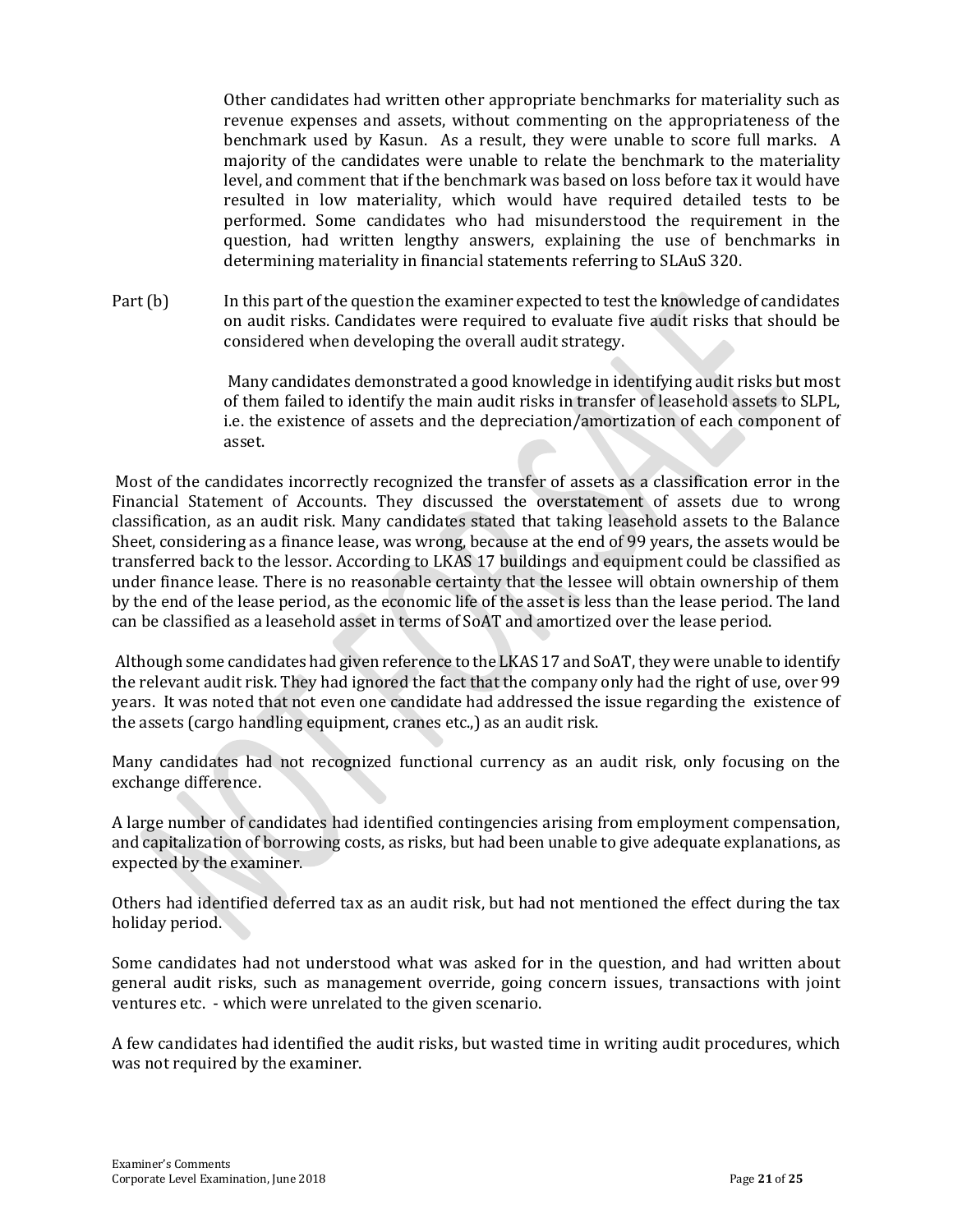Other candidates had written other appropriate benchmarks for materiality such as revenue expenses and assets, without commenting on the appropriateness of the benchmark used by Kasun. As a result, they were unable to score full marks. A majority of the candidates were unable to relate the benchmark to the materiality level, and comment that if the benchmark was based on loss before tax it would have resulted in low materiality, which would have required detailed tests to be performed. Some candidates who had misunderstood the requirement in the question, had written lengthy answers, explaining the use of benchmarks in determining materiality in financial statements referring to SLAuS 320.

Part (b) In this part of the question the examiner expected to test the knowledge of candidates on audit risks. Candidates were required to evaluate five audit risks that should be considered when developing the overall audit strategy.

> Many candidates demonstrated a good knowledge in identifying audit risks but most of them failed to identify the main audit risks in transfer of leasehold assets to SLPL, i.e. the existence of assets and the depreciation/amortization of each component of asset.

Most of the candidates incorrectly recognized the transfer of assets as a classification error in the Financial Statement of Accounts. They discussed the overstatement of assets due to wrong classification, as an audit risk. Many candidates stated that taking leasehold assets to the Balance Sheet, considering as a finance lease, was wrong, because at the end of 99 years, the assets would be transferred back to the lessor. According to LKAS 17 buildings and equipment could be classified as under finance lease. There is no reasonable certainty that the lessee will obtain ownership of them by the end of the lease period, as the economic life of the asset is less than the lease period. The land can be classified as a leasehold asset in terms of SoAT and amortized over the lease period.

Although some candidates had given reference to the LKAS 17 and SoAT, they were unable to identify the relevant audit risk. They had ignored the fact that the company only had the right of use, over 99 years. It was noted that not even one candidate had addressed the issue regarding the existence of the assets (cargo handling equipment, cranes etc.,) as an audit risk.

Many candidates had not recognized functional currency as an audit risk, only focusing on the exchange difference.

A large number of candidates had identified contingencies arising from employment compensation, and capitalization of borrowing costs, as risks, but had been unable to give adequate explanations, as expected by the examiner.

Others had identified deferred tax as an audit risk, but had not mentioned the effect during the tax holiday period.

Some candidates had not understood what was asked for in the question, and had written about general audit risks, such as management override, going concern issues, transactions with joint ventures etc. - which were unrelated to the given scenario.

A few candidates had identified the audit risks, but wasted time in writing audit procedures, which was not required by the examiner.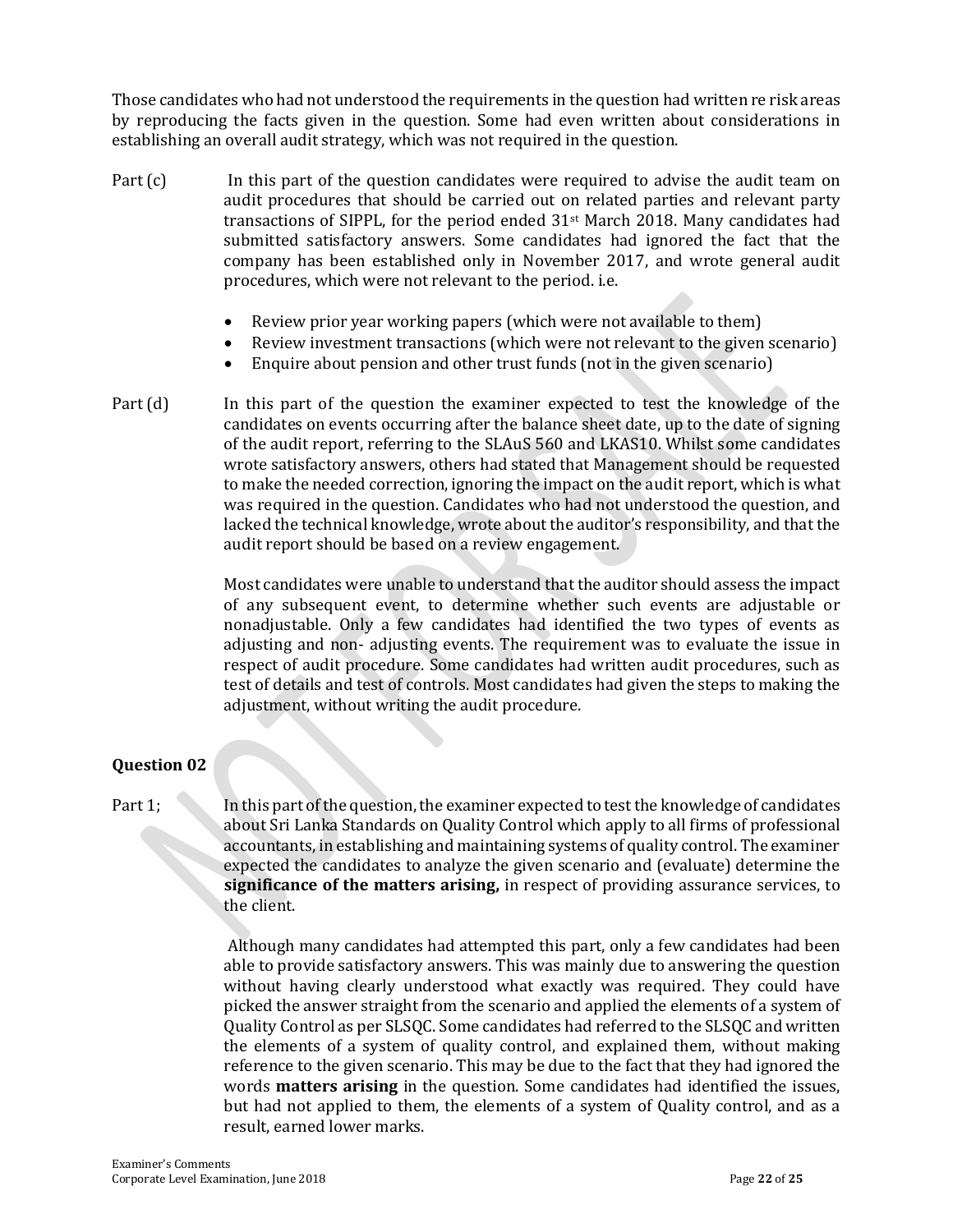Those candidates who had not understood the requirements in the question had written re risk areas by reproducing the facts given in the question. Some had even written about considerations in establishing an overall audit strategy, which was not required in the question.

- Part (c) In this part of the question candidates were required to advise the audit team on audit procedures that should be carried out on related parties and relevant party transactions of SIPPL, for the period ended  $31^{st}$  March 2018. Many candidates had submitted satisfactory answers. Some candidates had ignored the fact that the company has been established only in November 2017, and wrote general audit procedures, which were not relevant to the period. i.e.
	- Review prior year working papers (which were not available to them)
	- Review investment transactions (which were not relevant to the given scenario)
	- Enquire about pension and other trust funds (not in the given scenario)
- Part (d) In this part of the question the examiner expected to test the knowledge of the candidates on events occurring after the balance sheet date, up to the date of signing of the audit report, referring to the SLAuS 560 and LKAS10. Whilst some candidates wrote satisfactory answers, others had stated that Management should be requested to make the needed correction, ignoring the impact on the audit report, which is what was required in the question. Candidates who had not understood the question, and lacked the technical knowledge, wrote about the auditor's responsibility, and that the audit report should be based on a review engagement.

Most candidates were unable to understand that the auditor should assess the impact of any subsequent event, to determine whether such events are adjustable or nonadjustable. Only a few candidates had identified the two types of events as adjusting and non- adjusting events. The requirement was to evaluate the issue in respect of audit procedure. Some candidates had written audit procedures, such as test of details and test of controls. Most candidates had given the steps to making the adjustment, without writing the audit procedure.

## **Question 02**

Part 1; In this part of the question, the examiner expected to test the knowledge of candidates about Sri Lanka Standards on Quality Control which apply to all firms of professional accountants, in establishing and maintaining systems of quality control. The examiner expected the candidates to analyze the given scenario and (evaluate) determine the **significance of the matters arising,** in respect of providing assurance services, to the client.

> Although many candidates had attempted this part, only a few candidates had been able to provide satisfactory answers. This was mainly due to answering the question without having clearly understood what exactly was required. They could have picked the answer straight from the scenario and applied the elements of a system of Quality Control as per SLSQC. Some candidates had referred to the SLSQC and written the elements of a system of quality control, and explained them, without making reference to the given scenario. This may be due to the fact that they had ignored the words **matters arising** in the question. Some candidates had identified the issues, but had not applied to them, the elements of a system of Quality control, and as a result, earned lower marks.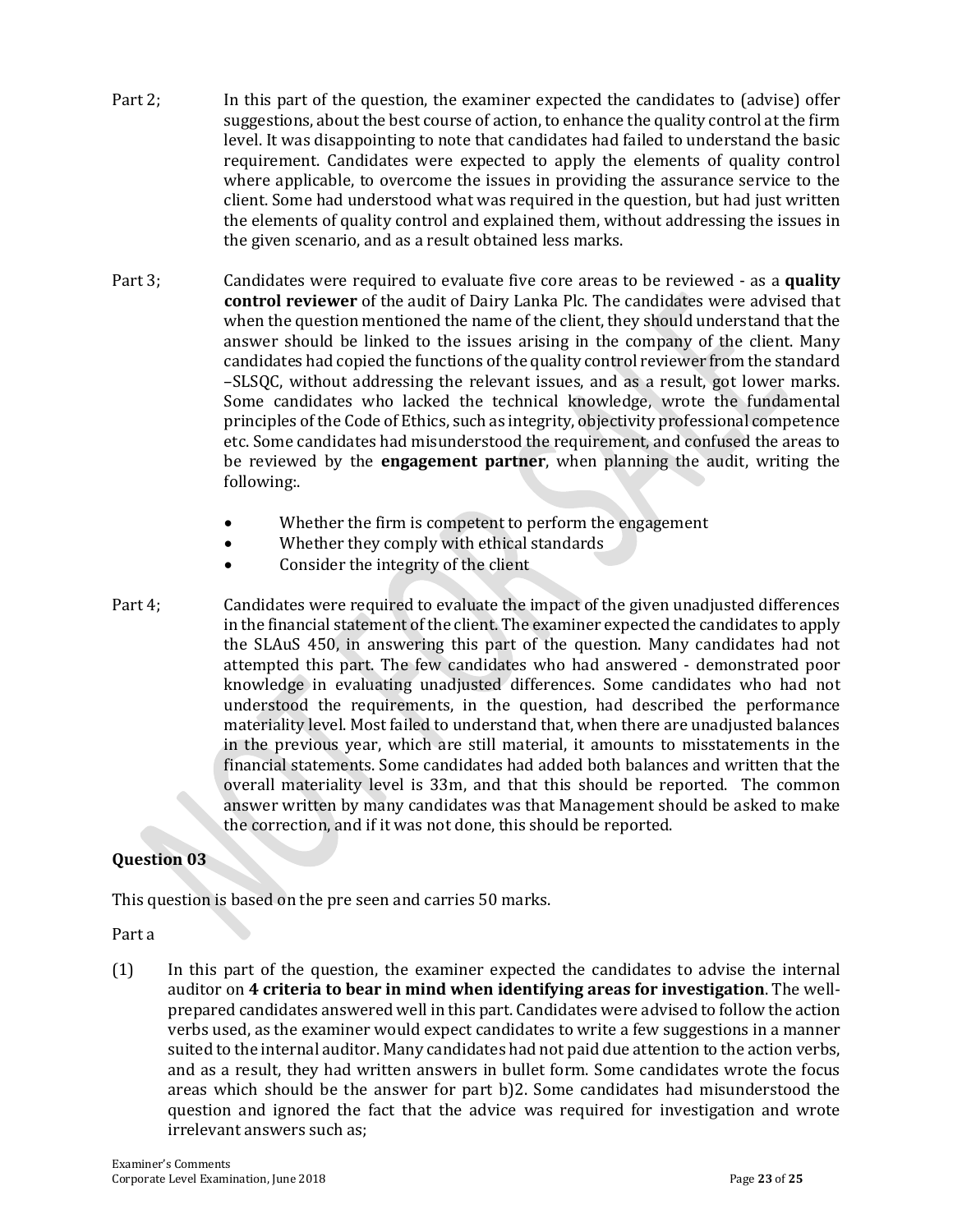- Part 2; In this part of the question, the examiner expected the candidates to (advise) offer suggestions, about the best course of action, to enhance the quality control at the firm level. It was disappointing to note that candidates had failed to understand the basic requirement. Candidates were expected to apply the elements of quality control where applicable, to overcome the issues in providing the assurance service to the client. Some had understood what was required in the question, but had just written the elements of quality control and explained them, without addressing the issues in the given scenario, and as a result obtained less marks.
- Part 3; Candidates were required to evaluate five core areas to be reviewed as a **quality control reviewer** of the audit of Dairy Lanka Plc. The candidates were advised that when the question mentioned the name of the client, they should understand that the answer should be linked to the issues arising in the company of the client. Many candidates had copied the functions of the quality control reviewer from the standard –SLSQC, without addressing the relevant issues, and as a result, got lower marks. Some candidates who lacked the technical knowledge, wrote the fundamental principles of the Code of Ethics, such as integrity, objectivity professional competence etc. Some candidates had misunderstood the requirement, and confused the areas to be reviewed by the **engagement partner**, when planning the audit, writing the following:.
	- Whether the firm is competent to perform the engagement
	- Whether they comply with ethical standards
	- Consider the integrity of the client
- Part 4; Candidates were required to evaluate the impact of the given unadjusted differences in the financial statement of the client. The examiner expected the candidates to apply the SLAuS 450, in answering this part of the question. Many candidates had not attempted this part. The few candidates who had answered - demonstrated poor knowledge in evaluating unadjusted differences. Some candidates who had not understood the requirements, in the question, had described the performance materiality level. Most failed to understand that, when there are unadjusted balances in the previous year, which are still material, it amounts to misstatements in the financial statements. Some candidates had added both balances and written that the overall materiality level is 33m, and that this should be reported. The common answer written by many candidates was that Management should be asked to make the correction, and if it was not done, this should be reported.

## **Question 03**

This question is based on the pre seen and carries 50 marks.

#### Part a

(1) In this part of the question, the examiner expected the candidates to advise the internal auditor on **4 criteria to bear in mind when identifying areas for investigation**. The wellprepared candidates answered well in this part. Candidates were advised to follow the action verbs used, as the examiner would expect candidates to write a few suggestions in a manner suited to the internal auditor. Many candidates had not paid due attention to the action verbs, and as a result, they had written answers in bullet form. Some candidates wrote the focus areas which should be the answer for part b)2. Some candidates had misunderstood the question and ignored the fact that the advice was required for investigation and wrote irrelevant answers such as;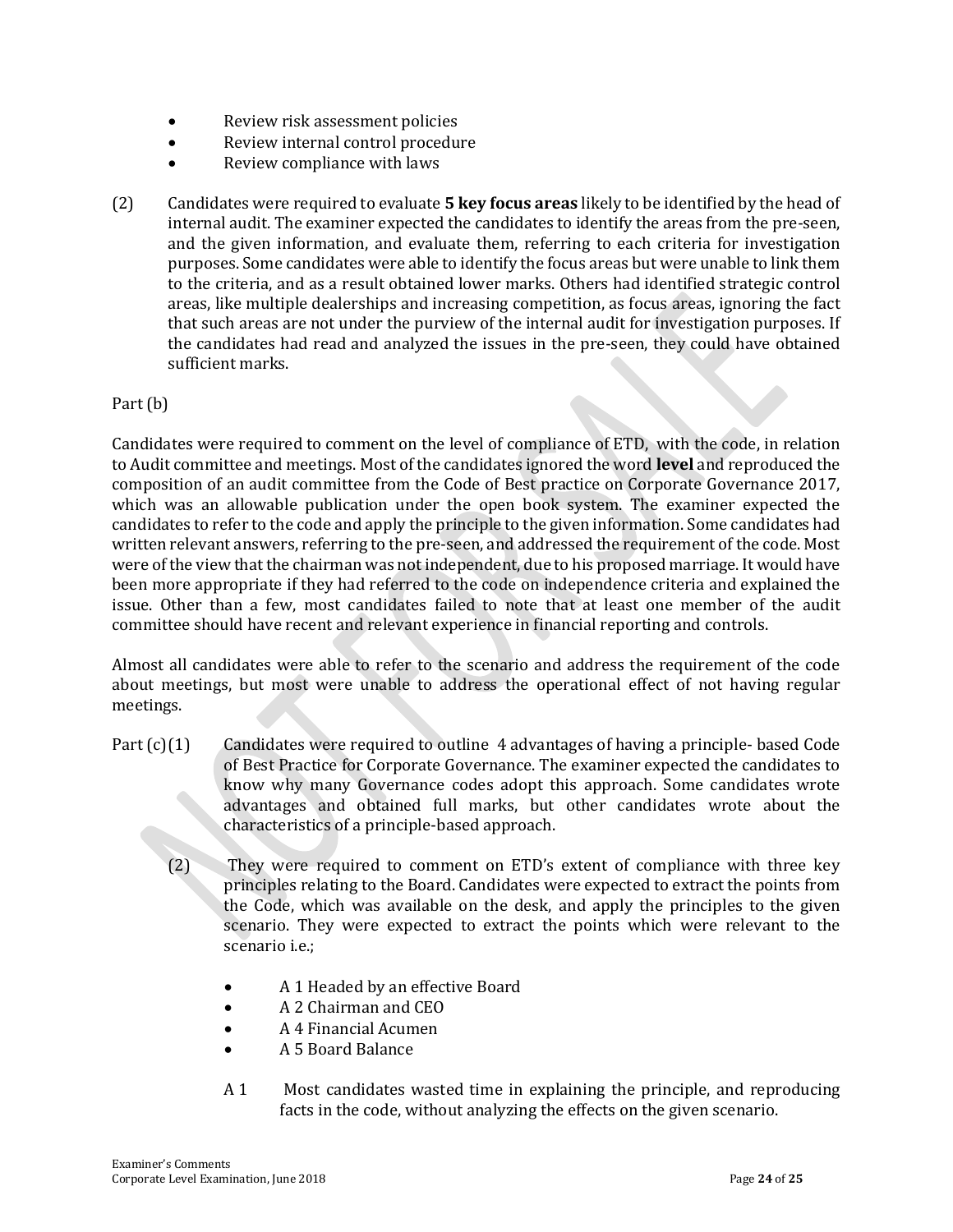- Review risk assessment policies
- Review internal control procedure
- Review compliance with laws
- (2) Candidates were required to evaluate **5 key focus areas** likely to be identified by the head of internal audit. The examiner expected the candidates to identify the areas from the pre-seen, and the given information, and evaluate them, referring to each criteria for investigation purposes. Some candidates were able to identify the focus areas but were unable to link them to the criteria, and as a result obtained lower marks. Others had identified strategic control areas, like multiple dealerships and increasing competition, as focus areas, ignoring the fact that such areas are not under the purview of the internal audit for investigation purposes. If the candidates had read and analyzed the issues in the pre-seen, they could have obtained sufficient marks.

#### Part (b)

Candidates were required to comment on the level of compliance of ETD, with the code, in relation to Audit committee and meetings. Most of the candidates ignored the word **level** and reproduced the composition of an audit committee from the Code of Best practice on Corporate Governance 2017, which was an allowable publication under the open book system. The examiner expected the candidates to refer to the code and apply the principle to the given information. Some candidates had written relevant answers, referring to the pre-seen, and addressed the requirement of the code. Most were of the view that the chairman was not independent, due to his proposed marriage. It would have been more appropriate if they had referred to the code on independence criteria and explained the issue. Other than a few, most candidates failed to note that at least one member of the audit committee should have recent and relevant experience in financial reporting and controls.

Almost all candidates were able to refer to the scenario and address the requirement of the code about meetings, but most were unable to address the operational effect of not having regular meetings.

- Part  $(c)(1)$  Candidates were required to outline 4 advantages of having a principle- based Code of Best Practice for Corporate Governance. The examiner expected the candidates to know why many Governance codes adopt this approach. Some candidates wrote advantages and obtained full marks, but other candidates wrote about the characteristics of a principle-based approach.
	- (2) They were required to comment on ETD's extent of compliance with three key principles relating to the Board. Candidates were expected to extract the points from the Code, which was available on the desk, and apply the principles to the given scenario. They were expected to extract the points which were relevant to the scenario i.e.;
		- A 1 Headed by an effective Board
		- A 2 Chairman and CEO
		- A 4 Financial Acumen
		- A 5 Board Balance
		- A 1 Most candidates wasted time in explaining the principle, and reproducing facts in the code, without analyzing the effects on the given scenario.